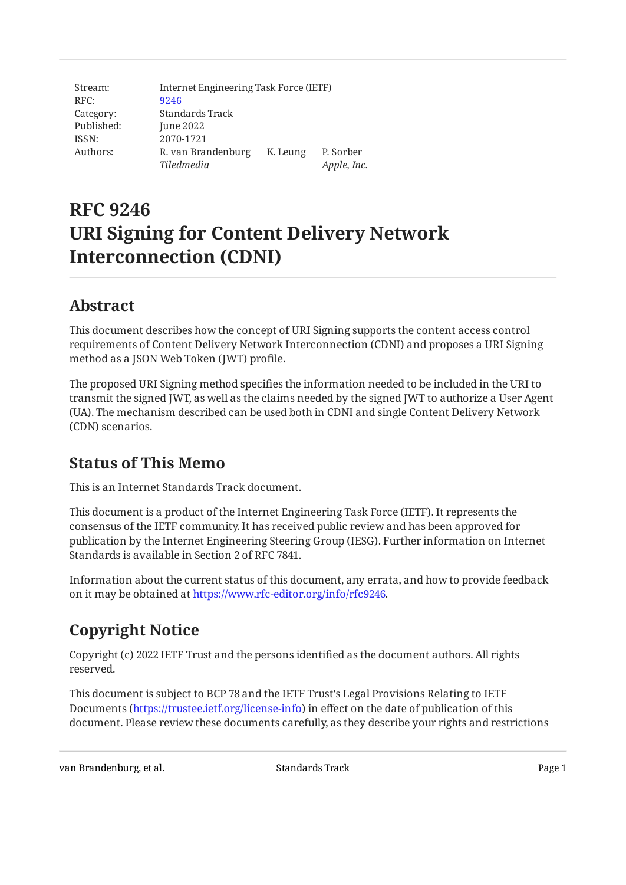Stream: RFC: Category: Published: ISSN: Authors: Internet Engineering Task Force (IETF) [9246](https://www.rfc-editor.org/rfc/rfc9246) Standards Track June 2022 2070-1721 R. van Brandenburg K. Leung P. Sorber *Tiledmedia Apple, Inc.*

# **RFC 9246 URI Signing for Content Delivery Network Interconnection (CDNI)**

## <span id="page-0-0"></span>**[Abstract](#page-0-0)**

This document describes how the concept of URI Signing supports the content access control requirements of Content Delivery Network Interconnection (CDNI) and proposes a URI Signing method as a JSON Web Token (JWT) profile.

The proposed URI Signing method specifies the information needed to be included in the URI to transmit the signed JWT, as well as the claims needed by the signed JWT to authorize a User Agent (UA). The mechanism described can be used both in CDNI and single Content Delivery Network (CDN) scenarios.

## <span id="page-0-1"></span>**[Status of This Memo](#page-0-1)**

This is an Internet Standards Track document.

This document is a product of the Internet Engineering Task Force (IETF). It represents the consensus of the IETF community. It has received public review and has been approved for publication by the Internet Engineering Steering Group (IESG). Further information on Internet Standards is available in Section 2 of RFC 7841.

Information about the current status of this document, any errata, and how to provide feedback on it may be obtained at [https://www.rfc-editor.org/info/rfc9246.](https://www.rfc-editor.org/info/rfc9246)

# <span id="page-0-2"></span>**[Copyright Notice](#page-0-2)**

Copyright (c) 2022 IETF Trust and the persons identified as the document authors. All rights reserved.

This document is subject to BCP 78 and the IETF Trust's Legal Provisions Relating to IETF Documents (<https://trustee.ietf.org/license-info>) in effect on the date of publication of this document. Please review these documents carefully, as they describe your rights and restrictions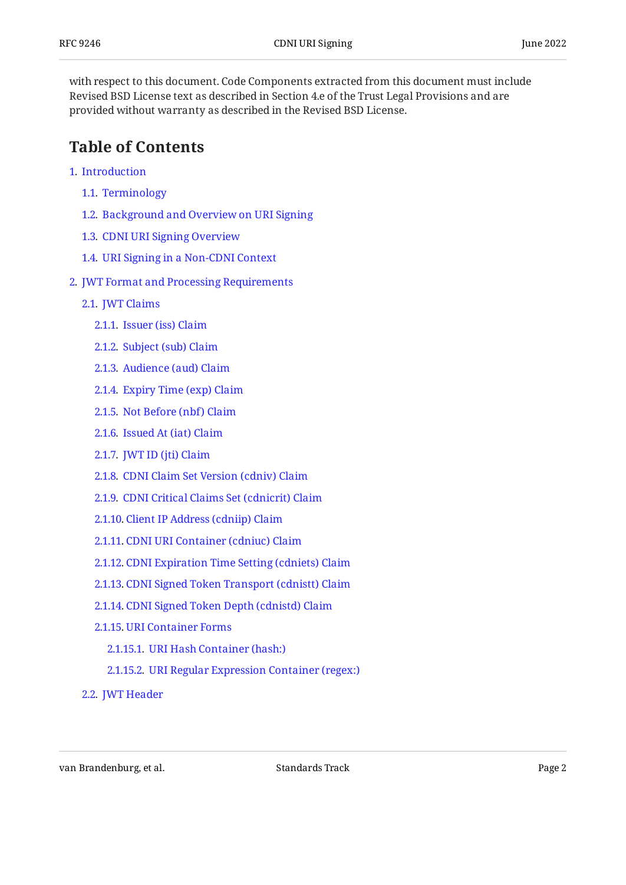with respect to this document. Code Components extracted from this document must include Revised BSD License text as described in Section 4.e of the Trust Legal Provisions and are provided without warranty as described in the Revised BSD License.

## <span id="page-1-0"></span>**[Table of Contents](#page-1-0)**

- [1](#page-3-0). [Introduction](#page-3-0)
	- [1.1.](#page-4-0) [Terminology](#page-4-0)
	- [1.2.](#page-5-0) [Background and Overview on URI Signing](#page-5-0)
	- [1.3.](#page-6-0) [CDNI URI Signing Overview](#page-6-0)
	- [1.4.](#page-7-0) [URI Signing in a Non-CDNI Context](#page-7-0)
- [2](#page-8-0). [JWT Format and Processing Requirements](#page-8-0)
	- [2.1.](#page-8-1) [JWT Claims](#page-8-1)
		- [2.1.1](#page-9-0). [Issuer \(iss\) Claim](#page-9-0)
		- [2.1.2](#page-9-1). [Subject \(sub\) Claim](#page-9-1)
		- [2.1.3](#page-9-2). [Audience \(aud\) Claim](#page-9-2)
		- [2.1.4](#page-10-0). [Expiry Time \(exp\) Claim](#page-10-0)
		- [2.1.5](#page-10-1). [Not Before \(nbf\) Claim](#page-10-1)
		- [2.1.6](#page-10-2). [Issued At \(iat\) Claim](#page-10-2)
		- [2.1.7](#page-10-3). [JWT ID \(jti\) Claim](#page-10-3)
		- [2.1.8](#page-11-0). [CDNI Claim Set Version \(cdniv\) Claim](#page-11-0)
		- [2.1.9](#page-11-1). [CDNI Critical Claims Set \(cdnicrit\) Claim](#page-11-1)
		- [2.1.10.](#page-11-2) [Client IP Address \(cdniip\) Claim](#page-11-2)
		- [2.1.11.](#page-12-0) [CDNI URI Container \(cdniuc\) Claim](#page-12-0)
		- [2.1.12.](#page-12-1) [CDNI Expiration Time Setting \(cdniets\) Claim](#page-12-1)
		- [2.1.13.](#page-12-2) [CDNI Signed Token Transport \(cdnistt\) Claim](#page-12-2)
		- [2.1.14.](#page-12-3) [CDNI Signed Token Depth \(cdnistd\) Claim](#page-12-3)
		- [2.1.15.](#page-13-0) [URI Container Forms](#page-13-0)
			- [2.1.15.1.](#page-13-1) [URI Hash Container \(hash:\)](#page-13-1)
			- [2.1.15.2.](#page-13-2) [URI Regular Expression Container \(regex:\)](#page-13-2)
	- [2.2.](#page-13-3) [JWT Header](#page-13-3)

van Brandenburg, et al. Note to the Standards Track Communication of the Page 2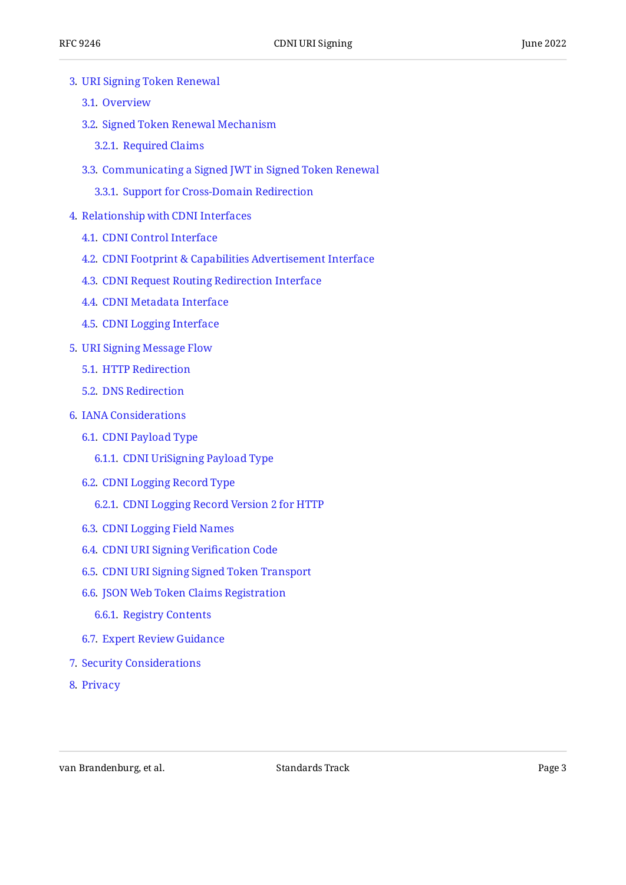- [3](#page-14-0). [URI Signing Token Renewal](#page-14-0)
	- [3.1.](#page-14-1) [Overview](#page-14-1)
	- [3.2.](#page-14-2) [Signed Token Renewal Mechanism](#page-14-2)
		- [3.2.1](#page-15-0). [Required Claims](#page-15-0)
	- [3.3.](#page-15-1) [Communicating a Signed JWT in Signed Token Renewal](#page-15-1)

[3.3.1](#page-15-2). [Support for Cross-Domain Redirection](#page-15-2)

- [4](#page-16-0). [Relationship with CDNI Interfaces](#page-16-0)
	- [4.1.](#page-16-1) [CDNI Control Interface](#page-16-1)
	- [4.2.](#page-16-2) [CDNI Footprint & Capabilities Advertisement Interface](#page-16-2)
	- [4.3.](#page-16-3) [CDNI Request Routing Redirection Interface](#page-16-3)
	- [4.4.](#page-16-4) [CDNI Metadata Interface](#page-16-4)
	- [4.5.](#page-18-0) [CDNI Logging Interface](#page-18-0)
- [5](#page-18-1). [URI Signing Message Flow](#page-18-1)
	- [5.1.](#page-18-2) [HTTP Redirection](#page-18-2)
	- [5.2.](#page-20-0) [DNS Redirection](#page-20-0)
- [6](#page-24-0). [IANA Considerations](#page-24-0)
	- [6.1.](#page-24-1) [CDNI Payload Type](#page-24-1)
		- [6.1.1](#page-24-2). [CDNI UriSigning Payload Type](#page-24-2)
	- [6.2.](#page-24-3) [CDNI Logging Record Type](#page-24-3)
		- [6.2.1](#page-24-4). [CDNI Logging Record Version 2 for HTTP](#page-24-4)
	- [6.3.](#page-24-5) [CDNI Logging Field Names](#page-24-5)
	- [6.4.](#page-25-0) [CDNI URI Signing Veri](#page-25-0)fication Code
	- [6.5.](#page-26-0) [CDNI URI Signing Signed Token Transport](#page-26-0)
	- [6.6.](#page-26-1) [JSON Web Token Claims Registration](#page-26-1)
		- [6.6.1](#page-26-2). [Registry Contents](#page-26-2)
	- [6.7.](#page-27-0) [Expert Review Guidance](#page-27-0)
- [7](#page-28-0). [Security Considerations](#page-28-0)
- [8](#page-29-0). [Privacy](#page-29-0)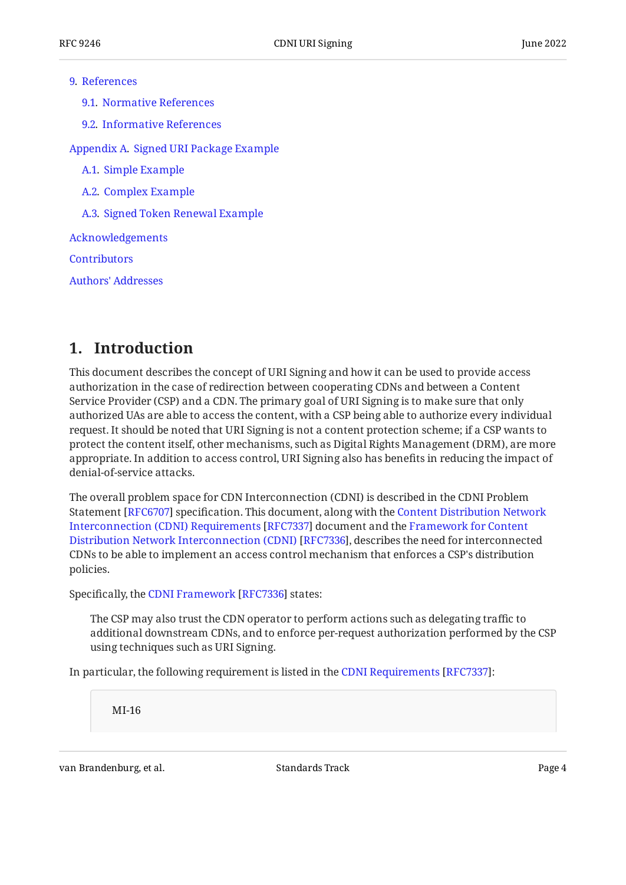#### [9](#page-29-1). [References](#page-29-1)

[9.1.](#page-29-2) [Normative References](#page-29-2)

[9.2.](#page-30-0) [Informative References](#page-30-0)

[Appendix A.](#page-31-0) [Signed URI Package Example](#page-31-0)

[A.1](#page-32-0). [Simple Example](#page-32-0)

[A.2](#page-33-0). [Complex Example](#page-33-0)

[A.3](#page-34-0). [Signed Token Renewal Example](#page-34-0)

[Acknowledgements](#page-35-0)

**[Contributors](#page-35-1)** 

[Authors' Addresses](#page-35-2)

## <span id="page-3-0"></span>**[1. Introduction](#page-3-0)**

This document describes the concept of URI Signing and how it can be used to provide access authorization in the case of redirection between cooperating CDNs and between a Content Service Provider (CSP) and a CDN. The primary goal of URI Signing is to make sure that only authorized UAs are able to access the content, with a CSP being able to authorize every individual request. It should be noted that URI Signing is not a content protection scheme; if a CSP wants to protect the content itself, other mechanisms, such as Digital Rights Management (DRM), are more appropriate. In addition to access control, URI Signing also has benefits in reducing the impact of denial-of-service attacks.

The overall problem space for CDN Interconnection (CDNI) is described in the CDNI Problem Statement [RFC6707] specification. This document, along with the [Content Distribution Network](#page-31-1) [Interconnection \(CDNI\) Requirements](#page-31-1) [\[RFC7337\]](#page-31-1) document and the [Framework for Content](#page-31-2) [Distribution Network Interconnection \(CDNI\)](#page-31-2) [[RFC7336\]](#page-31-2), describes the need for interconnected CDNs to be able to implement an access control mechanism that enforces a CSP's distribution policies.

Specifically,the CDNI Framework [RFC7336] states:

The CSP may also trust the CDN operator to perform actions such as delegating traffic to additional downstream CDNs, and to enforce per-request authorization performed by the CSP using techniques such as URI Signing.

Inparticular, the following requirement is listed in the CDNI Requirements [RFC7337]:

MI-16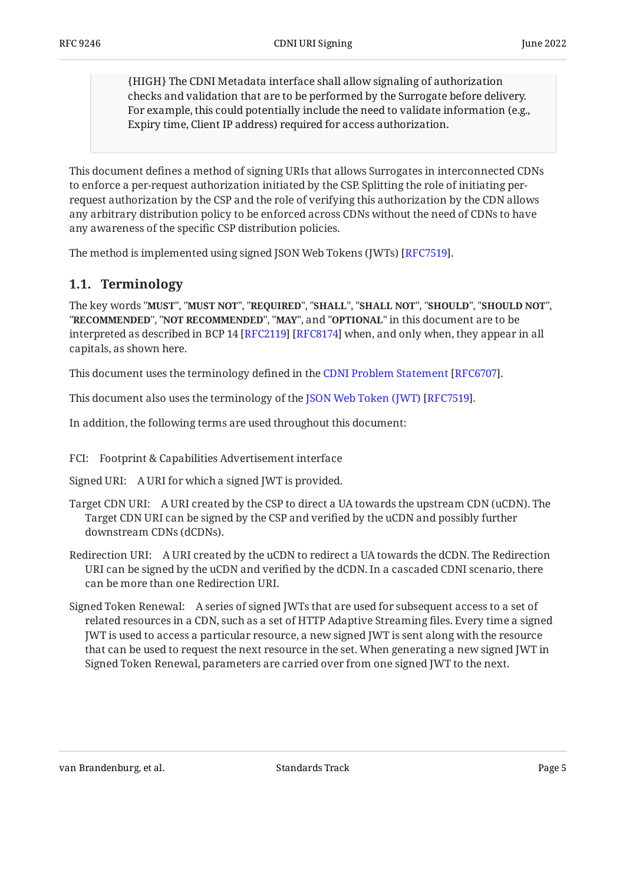{HIGH} The CDNI Metadata interface shall allow signaling of authorization checks and validation that are to be performed by the Surrogate before delivery. For example, this could potentially include the need to validate information (e.g., Expiry time, Client IP address) required for access authorization.

This document defines a method of signing URIs that allows Surrogates in interconnected CDNs to enforce a per-request authorization initiated by the CSP. Splitting the role of initiating perrequest authorization by the CSP and the role of verifying this authorization by the CDN allows any arbitrary distribution policy to be enforced across CDNs without the need of CDNs to have any awareness of the specific CSP distribution policies.

<span id="page-4-0"></span>The method is implemented using signed JSON Web Tokens (JWTs) [\[RFC7519](#page-30-2)].  $\,$ 

## **[1.1. Terminology](#page-4-0)**

The key words "MUST", "MUST NOT", "REQUIRED", "SHALL", "SHALL NOT", "SHOULD", "SHOULD NOT", "**RECOMMENDED", "NOT RECOMMENDED", "MAY",** and "OPTIONAL" in this document are to be interpreted as described in BCP 14 [RFC2119] [RFC8174] when, and only when, they appear in all capitals, as shown here.

Thisdocument uses the terminology defined in the CDNI Problem Statement [RFC6707].

Thisdocument also uses the terminology of the JSON Web Token (JWT) [RFC7519].

In addition, the following terms are used throughout this document:

FCI: Footprint & Capabilities Advertisement interface

Signed URI: A URI for which a signed JWT is provided.

- Target CDN URI: A URI created by the CSP to direct a UA towards the upstream CDN (uCDN). The Target CDN URI can be signed by the CSP and verified by the uCDN and possibly further downstream CDNs (dCDNs).
- Redirection URI: A URI created by the uCDN to redirect a UA towards the dCDN. The Redirection URI can be signed by the uCDN and verified by the dCDN. In a cascaded CDNI scenario, there can be more than one Redirection URI.
- Signed Token Renewal: A series of signed JWTs that are used for subsequent access to a set of related resources in a CDN, such as a set of HTTP Adaptive Streaming files. Every time a signed JWT is used to access a particular resource, a new signed JWT is sent along with the resource that can be used to request the next resource in the set. When generating a new signed JWT in Signed Token Renewal, parameters are carried over from one signed JWT to the next.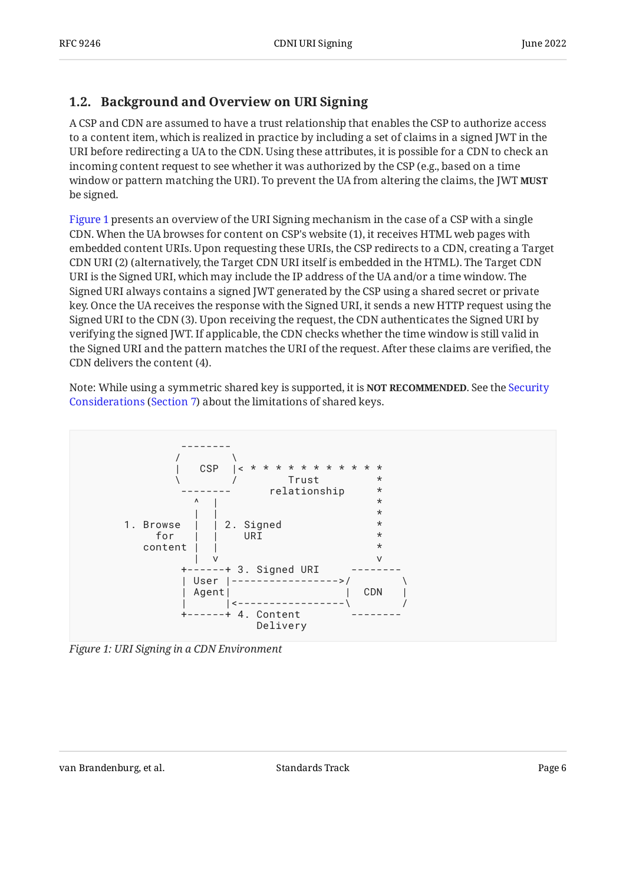## <span id="page-5-0"></span>**[1.2. Background and Overview on URI Signing](#page-5-0)**

A CSP and CDN are assumed to have a trust relationship that enables the CSP to authorize access to a content item, which is realized in practice by including a set of claims in a signed JWT in the URI before redirecting a UA to the CDN. Using these attributes, it is possible for a CDN to check an incoming content request to see whether it was authorized by the CSP (e.g., based on a time window or pattern matching the URI). To prevent the UA from altering the claims, the JWT **MUST** be signed.

[Figure 1](#page-5-1) presents an overview of the URI Signing mechanism in the case of a CSP with a single CDN. When the UA browses for content on CSP's website (1), it receives HTML web pages with embedded content URIs. Upon requesting these URIs, the CSP redirects to a CDN, creating a Target CDN URI (2) (alternatively, the Target CDN URI itself is embedded in the HTML). The Target CDN URI is the Signed URI, which may include the IP address of the UA and/or a time window. The Signed URI always contains a signed JWT generated by the CSP using a shared secret or private key. Once the UA receives the response with the Signed URI, it sends a new HTTP request using the Signed URI to the CDN (3). Upon receiving the request, the CDN authenticates the Signed URI by verifying the signed JWT. If applicable, the CDN checks whether the time window is still valid in the Signed URI and the pattern matches the URI of the request. After these claims are verified, the CDN delivers the content (4).

Note: While using a symmetric shared key is supported, it is **NOT RECOMMENDED**. See the [Security](#page-28-0) [Considerations](#page-28-0) ([Section 7\)](#page-28-0) about the limitations of shared keys.

<span id="page-5-1"></span>

*[Figure 1: URI Signing in a CDN Environment](#page-5-1)*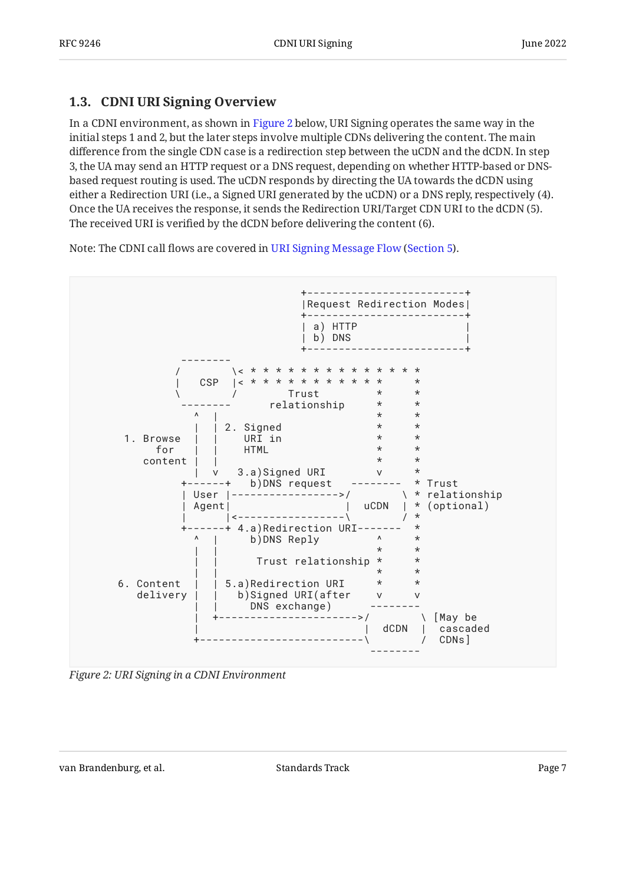### <span id="page-6-0"></span>**[1.3. CDNI URI Signing Overview](#page-6-0)**

In a CDNI environment, as shown in [Figure 2](#page-6-1) below, URI Signing operates the same way in the initial steps 1 and 2, but the later steps involve multiple CDNs delivering the content. The main difference from the single CDN case is a redirection step between the uCDN and the dCDN. In step 3, the UA may send an HTTP request or a DNS request, depending on whether HTTP-based or DNSbased request routing is used. The uCDN responds by directing the UA towards the dCDN using either a Redirection URI (i.e., a Signed URI generated by the uCDN) or a DNS reply, respectively (4). Once the UA receives the response, it sends the Redirection URI/Target CDN URI to the dCDN (5). The received URI is verified by the dCDN before delivering the content (6).

Note: The CDNI call flows are covered in [URI Signing Message Flow](#page-18-1) ([Section 5\)](#page-18-1).

<span id="page-6-1"></span>

*[Figure 2: URI Signing in a CDNI Environment](#page-6-1)*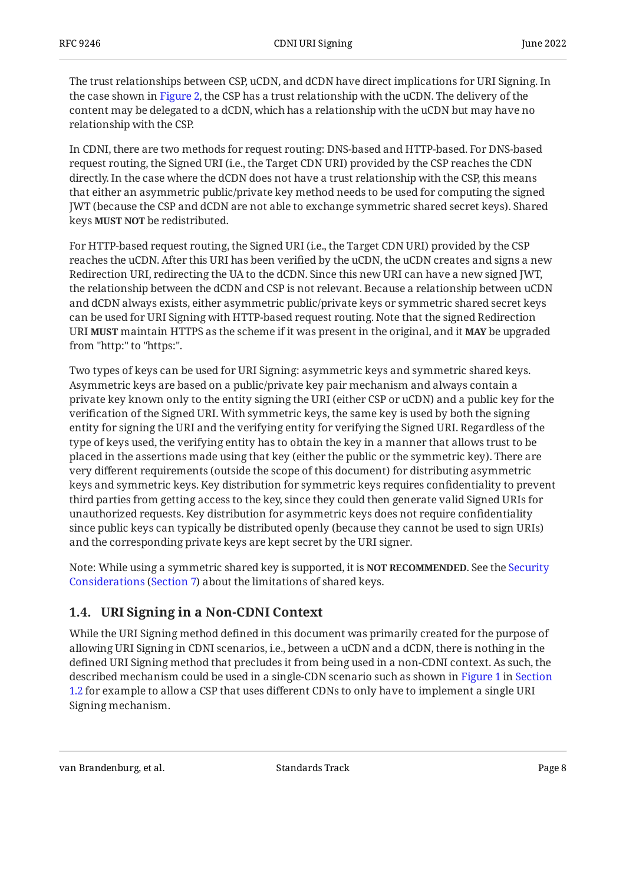The trust relationships between CSP, uCDN, and dCDN have direct implications for URI Signing. In the case shown in [Figure 2,](#page-6-1) the CSP has a trust relationship with the uCDN. The delivery of the content may be delegated to a dCDN, which has a relationship with the uCDN but may have no relationship with the CSP.

In CDNI, there are two methods for request routing: DNS-based and HTTP-based. For DNS-based request routing, the Signed URI (i.e., the Target CDN URI) provided by the CSP reaches the CDN directly. In the case where the dCDN does not have a trust relationship with the CSP, this means that either an asymmetric public/private key method needs to be used for computing the signed JWT (because the CSP and dCDN are not able to exchange symmetric shared secret keys). Shared keys **MUST NOT** be redistributed.

For HTTP-based request routing, the Signed URI (i.e., the Target CDN URI) provided by the CSP reaches the uCDN. After this URI has been verified by the uCDN, the uCDN creates and signs a new Redirection URI, redirecting the UA to the dCDN. Since this new URI can have a new signed JWT, the relationship between the dCDN and CSP is not relevant. Because a relationship between uCDN and dCDN always exists, either asymmetric public/private keys or symmetric shared secret keys can be used for URI Signing with HTTP-based request routing. Note that the signed Redirection  $U$ RI **MUST** maintain HTTPS as the scheme if it was present in the original, and it **MAY** be upgraded from "http:" to "https:".

Two types of keys can be used for URI Signing: asymmetric keys and symmetric shared keys. Asymmetric keys are based on a public/private key pair mechanism and always contain a private key known only to the entity signing the URI (either CSP or uCDN) and a public key for the verification of the Signed URI. With symmetric keys, the same key is used by both the signing entity for signing the URI and the verifying entity for verifying the Signed URI. Regardless of the type of keys used, the verifying entity has to obtain the key in a manner that allows trust to be placed in the assertions made using that key (either the public or the symmetric key). There are very different requirements (outside the scope of this document) for distributing asymmetric keys and symmetric keys. Key distribution for symmetric keys requires confidentiality to prevent third parties from getting access to the key, since they could then generate valid Signed URIs for unauthorized requests. Key distribution for asymmetric keys does not require confidentiality since public keys can typically be distributed openly (because they cannot be used to sign URIs) and the corresponding private keys are kept secret by the URI signer.

Note: While using a symmetric shared key is supported, it is **NOT RECOMMENDED**. See the [Security](#page-28-0) [Considerations](#page-28-0) ([Section 7\)](#page-28-0) about the limitations of shared keys.

### <span id="page-7-0"></span>**[1.4. URI Signing in a Non-CDNI Context](#page-7-0)**

While the URI Signing method defined in this document was primarily created for the purpose of allowing URI Signing in CDNI scenarios, i.e., between a uCDN and a dCDN, there is nothing in the defined URI Signing method that precludes it from being used in a non-CDNI context. As such, the described mechanism could be used in a single-CDN scenario such as shown in [Figure 1](#page-5-1) in [Section](#page-5-0) [1.2](#page-5-0) for example to allow a CSP that uses different CDNs to only have to implement a single URI Signing mechanism.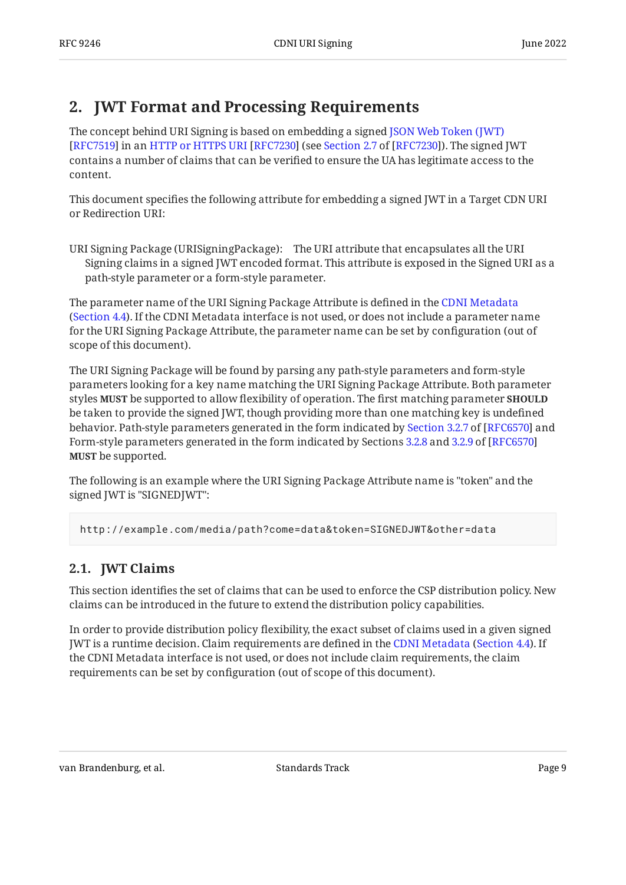## <span id="page-8-0"></span>**[2. JWT Format and Processing Requirements](#page-8-0)**

The concept behind URI Signing is based on embedding a signed [JSON Web Token \(JWT\)](#page-30-2) [RFC7519]in an HTTP or HTTPS URI [RFC7230] (see Section 2.7 of [RFC7230]). The signed JWT contains a number of claims that can be verified to ensure the UA has legitimate access to the content.

This document specifies the following attribute for embedding a signed JWT in a Target CDN URI or Redirection URI:

URI Signing Package (URISigningPackage): The URI attribute that encapsulates all the URI Signing claims in a signed JWT encoded format. This attribute is exposed in the Signed URI as a path-style parameter or a form-style parameter.

The parameter name of the URI Signing Package Attribute is defined in the [CDNI Metadata](#page-16-4) ([Section 4.4\)](#page-16-4). If the CDNI Metadata interface is not used, or does not include a parameter name for the URI Signing Package Attribute, the parameter name can be set by configuration (out of scope of this document).

The URI Signing Package will be found by parsing any path-style parameters and form-style parameters looking for a key name matching the URI Signing Package Attribute. Both parameter styles **MUST** be supported to allow flexibility of operation. The first matching parameter **SHOULD** be taken to provide the signed JWT, though providing more than one matching key is undefined behavior.Path-style parameters generated in the form indicated by Section 3.2.7 of [RFC6570] and Form-style parameters generated in the form indicated by Sections [3.2.8](https://www.rfc-editor.org/rfc/rfc6570#section-3.2.8) and [3.2.9](https://www.rfc-editor.org/rfc/rfc6570#section-3.2.9) of [[RFC6570\]](#page-30-5) **MUST** be supported.

The following is an example where the URI Signing Package Attribute name is "token" and the signed JWT is "SIGNEDJWT":

<span id="page-8-1"></span>http://example.com/media/path?come=data&token=SIGNEDJWT&other=data

## **[2.1. JWT Claims](#page-8-1)**

This section identifies the set of claims that can be used to enforce the CSP distribution policy. New claims can be introduced in the future to extend the distribution policy capabilities.

In order to provide distribution policy flexibility, the exact subset of claims used in a given signed JWTis a runtime decision. Claim requirements are defined in the CDNI Metadata (Section 4.4). If the CDNI Metadata interface is not used, or does not include claim requirements, the claim requirements can be set by configuration (out of scope of this document).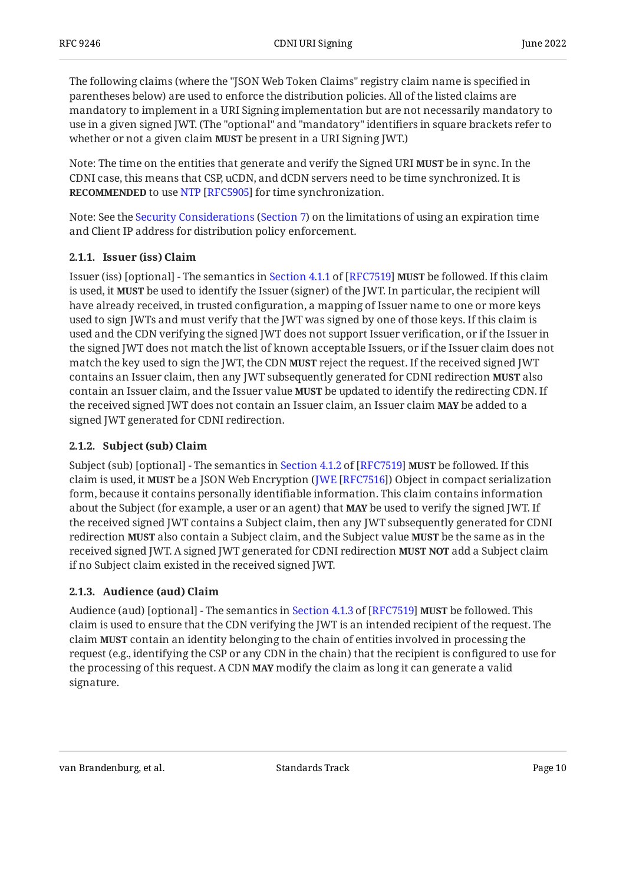The following claims (where the "JSON Web Token Claims" registry claim name is specified in parentheses below) are used to enforce the distribution policies. All of the listed claims are mandatory to implement in a URI Signing implementation but are not necessarily mandatory to use in a given signed JWT. (The "optional" and "mandatory" identifiers in square brackets refer to whether or not a given claim **MUST** be present in a URI Signing JWT.)

Note: The time on the entities that generate and verify the Signed URI **MUST** be in sync. In the CDNI case, this means that CSP, uCDN, and dCDN servers need to be time synchronized. It is **RECOMMENDED**to use NTP [RFC5905] for time synchronization.

Note:See the Security Considerations (Section 7) on the limitations of using an expiration time and Client IP address for distribution policy enforcement.

#### <span id="page-9-0"></span>**[2.1.1. Issuer \(iss\) Claim](#page-9-0)**

Issuer(iss) [optional] - The semantics in Section 4.1.1 of [RFC7519] **MUST** be followed. If this claim is used, it **MUST** be used to identify the Issuer (signer) of the JWT. In particular, the recipient will have already received, in trusted configuration, a mapping of Issuer name to one or more keys used to sign JWTs and must verify that the JWT was signed by one of those keys. If this claim is used and the CDN verifying the signed JWT does not support Issuer verification, or if the Issuer in the signed JWT does not match the list of known acceptable Issuers, or if the Issuer claim does not match the key used to sign the JWT, the CDN **MUST** reject the request. If the received signed JWT contains an Issuer claim, then any JWT subsequently generated for CDNI redirection **MUST** also contain an Issuer claim, and the Issuer value **MUST** be updated to identify the redirecting CDN. If the received signed JWT does not contain an Issuer claim, an Issuer claim **MAY** be added to a signed JWT generated for CDNI redirection.

#### <span id="page-9-1"></span>**[2.1.2. Subject \(sub\) Claim](#page-9-1)**

Subject(sub) [optional] - The semantics in Section 4.1.2 of [RFC7519] **MUST** be followed. If this claim is used, it **MUST** be a JSON Web Encryption (JWE [RFC7516]) Object in compact serialization form, because it contains personally identifiable information. This claim contains information about the Subject (for example, a user or an agent) that **MAY** be used to verify the signed JWT. If the received signed JWT contains a Subject claim, then any JWT subsequently generated for CDNI **redirection MUST** also contain a Subject claim, and the Subject value **MUST** be the same as in the received signed JWT. A signed JWT generated for CDNI redirection **MUST NOT** add a Subject claim if no Subject claim existed in the received signed JWT.

#### <span id="page-9-2"></span>**[2.1.3. Audience \(aud\) Claim](#page-9-2)**

Audience(aud) [optional] - The semantics in Section 4.1.3 of [RFC7519] **MUST** be followed. This claim is used to ensure that the CDN verifying the JWT is an intended recipient of the request. The claim **MUST** contain an identity belonging to the chain of entities involved in processing the request (e.g., identifying the CSP or any CDN in the chain) that the recipient is configured to use for the processing of this request. A CDN **MAY** modify the claim as long it can generate a valid signature.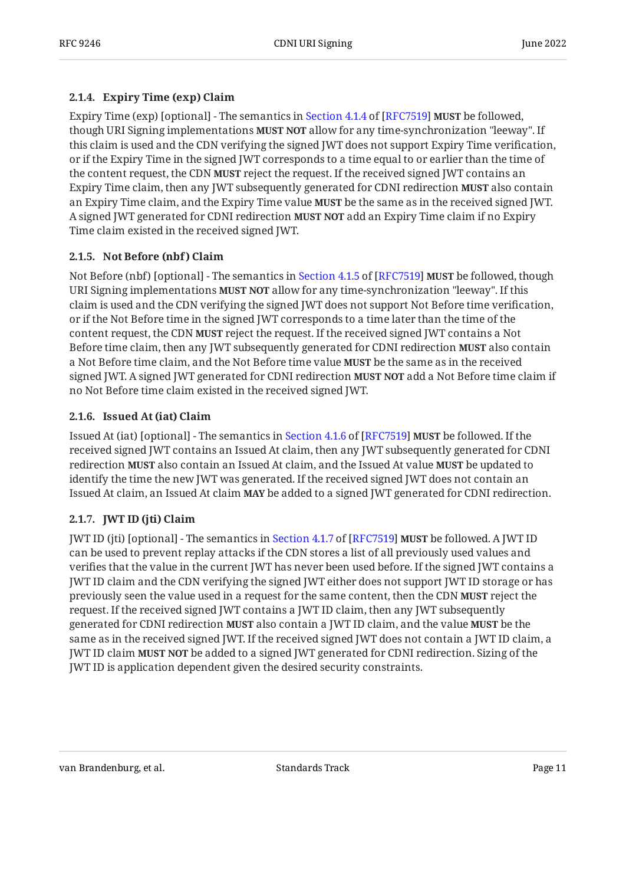#### <span id="page-10-0"></span>**[2.1.4. Expiry Time \(exp\) Claim](#page-10-0)**

ExpiryTime (exp) [optional] - The semantics in Section 4.1.4 of [RFC7519] **MUST** be followed, though URI Signing implementations **MUST NOT** allow for any time-synchronization "leeway". If this claim is used and the CDN verifying the signed JWT does not support Expiry Time verification, or if the Expiry Time in the signed JWT corresponds to a time equal to or earlier than the time of the content request, the CDN **MUST** reject the request. If the received signed JWT contains an Expiry Time claim, then any JWT subsequently generated for CDNI redirection **MUST** also contain an Expiry Time claim, and the Expiry Time value **MUST** be the same as in the received signed JWT. A signed JWT generated for CDNI redirection **MUST NOT** add an Expiry Time claim if no Expiry Time claim existed in the received signed JWT.

#### <span id="page-10-1"></span>**[2.1.5. Not Before \(nbf\) Claim](#page-10-1)**

NotBefore (nbf) [optional] - The semantics in Section 4.1.5 of [RFC7519] **MUST** be followed, though URI Signing implementations **MUST NOT** allow for any time-synchronization "leeway". If this claim is used and the CDN verifying the signed JWT does not support Not Before time verification, or if the Not Before time in the signed JWT corresponds to a time later than the time of the content request, the CDN **MUST** reject the request. If the received signed JWT contains a Not Before time claim, then any JWT subsequently generated for CDNI redirection **MUST** also contain a Not Before time claim, and the Not Before time value **MUST** be the same as in the received signed JWT. A signed JWT generated for CDNI redirection **MUST NOT** add a Not Before time claim if no Not Before time claim existed in the received signed JWT.

#### <span id="page-10-2"></span>**[2.1.6. Issued At \(iat\) Claim](#page-10-2)**

IssuedAt (iat) [optional] - The semantics in Section 4.1.6 of [RFC7519] **MUST** be followed. If the received signed JWT contains an Issued At claim, then any JWT subsequently generated for CDNI redirection **MUST** also contain an Issued At claim, and the Issued At value **MUST** be updated to identify the time the new JWT was generated. If the received signed JWT does not contain an Issued At claim, an Issued At claim **MAY** be added to a signed JWT generated for CDNI redirection.

### <span id="page-10-3"></span>**[2.1.7. JWT ID \(jti\) Claim](#page-10-3)**

JWTID (jti) [optional] - The semantics in Section 4.1.7 of [RFC7519] **MUST** be followed. A JWT ID can be used to prevent replay attacks if the CDN stores a list of all previously used values and verifies that the value in the current JWT has never been used before. If the signed JWT contains a JWT ID claim and the CDN verifying the signed JWT either does not support JWT ID storage or has previously seen the value used in a request for the same content, then the CDN **MUST** reject the request. If the received signed JWT contains a JWT ID claim, then any JWT subsequently generated for CDNI redirection **MUST** also contain a JWT ID claim, and the value **MUST** be the same as in the received signed JWT. If the received signed JWT does not contain a JWT ID claim, a **JWT ID claim MUST NOT** be added to a signed JWT generated for CDNI redirection. Sizing of the JWT ID is application dependent given the desired security constraints.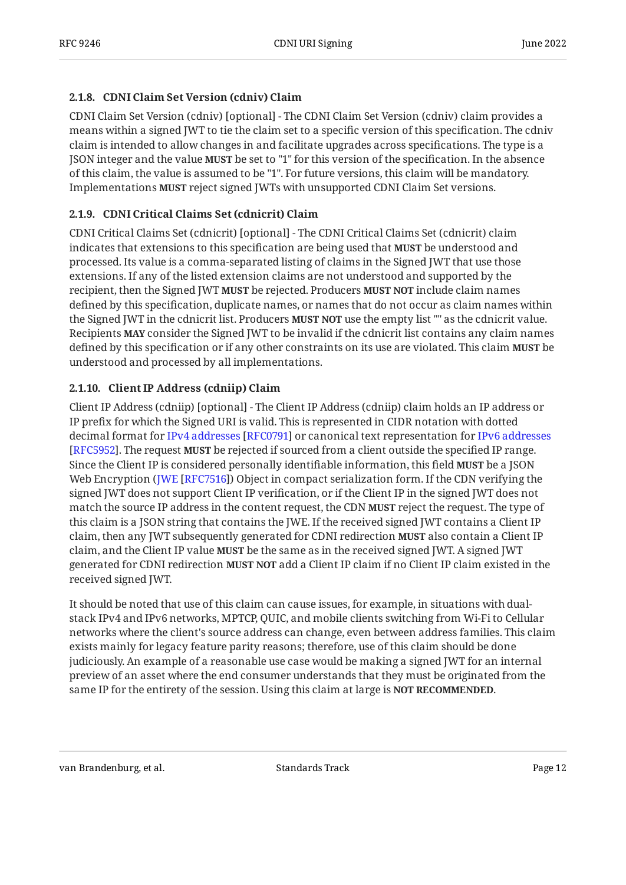#### <span id="page-11-0"></span>**[2.1.8. CDNI Claim Set Version \(cdniv\) Claim](#page-11-0)**

CDNI Claim Set Version (cdniv) [optional] - The CDNI Claim Set Version (cdniv) claim provides a means within a signed JWT to tie the claim set to a specific version of this specification. The cdniv claim is intended to allow changes in and facilitate upgrades across specifications. The type is a JSON integer and the value **MUST** be set to "1" for this version of the specification. In the absence of this claim, the value is assumed to be "1". For future versions, this claim will be mandatory. Implementations MUST reject signed JWTs with unsupported CDNI Claim Set versions.

#### <span id="page-11-1"></span>**[2.1.9. CDNI Critical Claims Set \(cdnicrit\) Claim](#page-11-1)**

CDNI Critical Claims Set (cdnicrit) [optional] - The CDNI Critical Claims Set (cdnicrit) claim indicates that extensions to this specification are being used that **MUST** be understood and processed. Its value is a comma-separated listing of claims in the Signed JWT that use those extensions. If any of the listed extension claims are not understood and supported by the recipient, then the Signed JWT **MUST** be rejected. Producers **MUST NOT** include claim names defined by this specification, duplicate names, or names that do not occur as claim names within the Signed JWT in the cdnicrit list. Producers **MUST NOT** use the empty list "" as the cdnicrit value. Recipients **MAY** consider the Signed JWT to be invalid if the cdnicrit list contains any claim names defined by this specification or if any other constraints on its use are violated. This claim **MUST** be understood and processed by all implementations.

#### <span id="page-11-2"></span>**[2.1.10. Client IP Address \(cdniip\) Claim](#page-11-2)**

Client IP Address (cdniip) [optional] - The Client IP Address (cdniip) claim holds an IP address or IP prefix for which the Signed URI is valid. This is represented in CIDR notation with dotted decimalformat for IPv4 addresses [RFC0791] or canonical text representation for [IPv6 addresses](#page-30-7) [[RFC5952\]](#page-30-7). The request **MUST** be rejected if sourced from a client outside the specified IP range. Since the Client IP is considered personally identifiable information, this field **MUST** be a JSON Web Encryption (JWE [RFC7516]) Object in compact serialization form. If the CDN verifying the signed JWT does not support Client IP verification, or if the Client IP in the signed JWT does not match the source IP address in the content request, the CDN **MUST** reject the request. The type of this claim is a JSON string that contains the JWE. If the received signed JWT contains a Client IP claim, then any JWT subsequently generated for CDNI redirection MUST also contain a Client IP claim, and the Client IP value **MUST** be the same as in the received signed JWT. A signed JWT generated for CDNI redirection **MUST NOT** add a Client IP claim if no Client IP claim existed in the received signed JWT.

It should be noted that use of this claim can cause issues, for example, in situations with dualstack IPv4 and IPv6 networks, MPTCP, QUIC, and mobile clients switching from Wi-Fi to Cellular networks where the client's source address can change, even between address families. This claim exists mainly for legacy feature parity reasons; therefore, use of this claim should be done judiciously. An example of a reasonable use case would be making a signed JWT for an internal preview of an asset where the end consumer understands that they must be originated from the same IP for the entirety of the session. Using this claim at large is **NOT RECOMMENDED**.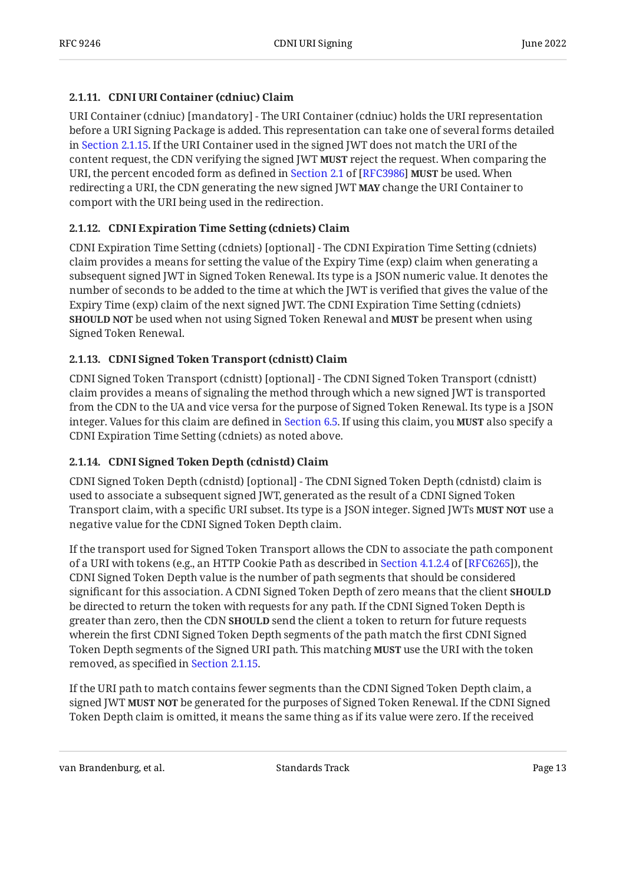#### <span id="page-12-0"></span>**[2.1.11. CDNI URI Container \(cdniuc\) Claim](#page-12-0)**

URI Container (cdniuc) [mandatory] - The URI Container (cdniuc) holds the URI representation before a URI Signing Package is added. This representation can take one of several forms detailed in [Section 2.1.15.](#page-13-0) If the URI Container used in the signed JWT does not match the URI of the content request, the CDN verifying the signed JWT **MUST** reject the request. When comparing the URI,the percent encoded form as defined in Section 2.1 of [RFC3986] **MUST** be used. When redirecting a URI, the CDN generating the new signed JWT **MAY** change the URI Container to comport with the URI being used in the redirection.

#### <span id="page-12-1"></span>**[2.1.12. CDNI Expiration Time Setting \(cdniets\) Claim](#page-12-1)**

CDNI Expiration Time Setting (cdniets) [optional] - The CDNI Expiration Time Setting (cdniets) claim provides a means for setting the value of the Expiry Time (exp) claim when generating a subsequent signed JWT in Signed Token Renewal. Its type is a JSON numeric value. It denotes the number of seconds to be added to the time at which the JWT is verified that gives the value of the Expiry Time (exp) claim of the next signed JWT. The CDNI Expiration Time Setting (cdniets) **SHOULD NOT** be used when not using Signed Token Renewal and **MUST** be present when using Signed Token Renewal.

#### <span id="page-12-2"></span>**[2.1.13. CDNI Signed Token Transport \(cdnistt\) Claim](#page-12-2)**

CDNI Signed Token Transport (cdnistt) [optional] - The CDNI Signed Token Transport (cdnistt) claim provides a means of signaling the method through which a new signed JWT is transported from the CDN to the UA and vice versa for the purpose of Signed Token Renewal. Its type is a JSON integer. Values for this claim are defined in [Section 6.5.](#page-26-0) If using this claim, you **MUST** also specify a CDNI Expiration Time Setting (cdniets) as noted above.

#### <span id="page-12-3"></span>**[2.1.14. CDNI Signed Token Depth \(cdnistd\) Claim](#page-12-3)**

CDNI Signed Token Depth (cdnistd) [optional] - The CDNI Signed Token Depth (cdnistd) claim is used to associate a subsequent signed JWT, generated as the result of a CDNI Signed Token Transport claim, with a specific URI subset. Its type is a JSON integer. Signed JWTs **MUST NOT** use a negative value for the CDNI Signed Token Depth claim.

If the transport used for Signed Token Transport allows the CDN to associate the path component ofa URI with tokens (e.g., an HTTP Cookie Path as described in Section 4.1.2.4 of [RFC6265]), the CDNI Signed Token Depth value is the number of path segments that should be considered significant for this association. A CDNI Signed Token Depth of zero means that the client **SHOULD** be directed to return the token with requests for any path. If the CDNI Signed Token Depth is greater than zero, then the CDN **SHOULD** send the client a token to return for future requests wherein the first CDNI Signed Token Depth segments of the path match the first CDNI Signed Token Depth segments of the Signed URI path. This matching **MUST** use the URI with the token removed, as specified in [Section 2.1.15](#page-13-0).

If the URI path to match contains fewer segments than the CDNI Signed Token Depth claim, a signed JWT **MUST NOT** be generated for the purposes of Signed Token Renewal. If the CDNI Signed Token Depth claim is omitted, it means the same thing as if its value were zero. If the received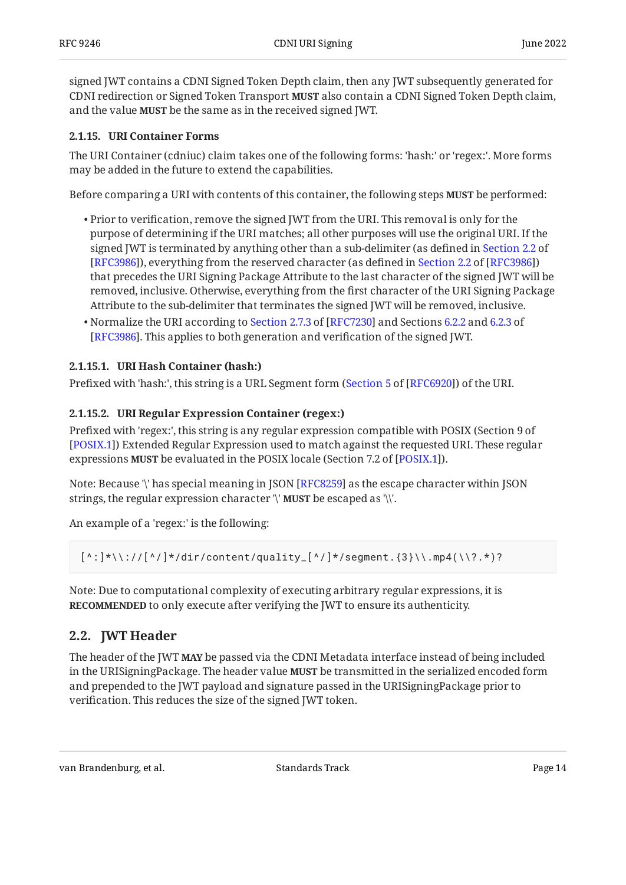signed JWT contains a CDNI Signed Token Depth claim, then any JWT subsequently generated for CDNI redirection or Signed Token Transport **MUST** also contain a CDNI Signed Token Depth claim, and the value **MUST** be the same as in the received signed JWT.

#### <span id="page-13-0"></span>**[2.1.15. URI Container Forms](#page-13-0)**

The URI Container (cdniuc) claim takes one of the following forms: 'hash:' or 'regex:'. More forms may be added in the future to extend the capabilities.

Before comparing a URI with contents of this container, the following steps **MUST** be performed:

- $\bullet$  Prior to verification, remove the signed JWT from the URI. This removal is only for the purpose of determining if the URI matches; all other purposes will use the original URI. If the signed JWT is terminated by anything other than a sub-delimiter (as defined in [Section 2.2](https://www.rfc-editor.org/rfc/rfc3986#section-2.2) of [RFC3986]),everything from the reserved character (as defined in Section 2.2 of [[RFC3986\]](#page-29-6)) that precedes the URI Signing Package Attribute to the last character of the signed JWT will be removed, inclusive. Otherwise, everything from the first character of the URI Signing Package Attribute to the sub-delimiter that terminates the signed JWT will be removed, inclusive.
- •Normalize the URI according to Section 2.7.3 of [RFC7230] and Sections [6.2.2](https://www.rfc-editor.org/rfc/rfc3986#section-6.2.2) and [6.2.3](https://www.rfc-editor.org/rfc/rfc3986#section-6.2.3) of . This applies to both generation and verification of the signed JWT. [[RFC3986\]](#page-29-6)

#### <span id="page-13-1"></span>**[2.1.15.1. URI Hash Container \(hash:\)](#page-13-1)**

Prefixed with 'hash:', this string is a URL Segment form ([Section 5](https://www.rfc-editor.org/rfc/rfc6920#section-5) of [[RFC6920\]](#page-30-9)) of the URI.

#### <span id="page-13-2"></span>**[2.1.15.2. URI Regular Expression Container \(regex:\)](#page-13-2)**

Prefixed with 'regex:', this string is any regular expression compatible with POSIX (Section 9 of ) Extended Regular Expression used to match against the requested URI. These regular [[POSIX.1\]](#page-29-7) expressions **MUST** be evaluated in the POSIX locale (Section 7.2 of [POSIX.1]).

Note: Because '\' has special meaning in JSON [[RFC8259\]](#page-30-10) as the escape character within JSON strings, the regular expression character '\' **MUST** be escaped as '\\'.

An example of a 'regex:' is the following:

```
[\wedge:]\*\wedge:\wedge/\wedge]*/dir/content/quality_[\wedge]/*/segment.{3}\\.mp4(\\?.*)?
```
Note: Due to computational complexity of executing arbitrary regular expressions, it is **RECOMMENDED** to only execute after verifying the JWT to ensure its authenticity.

### <span id="page-13-3"></span>**[2.2. JWT Header](#page-13-3)**

The header of the JWT **MAY** be passed via the CDNI Metadata interface instead of being included in the URISigningPackage. The header value **MUST** be transmitted in the serialized encoded form and prepended to the JWT payload and signature passed in the URISigningPackage prior to verification. This reduces the size of the signed JWT token.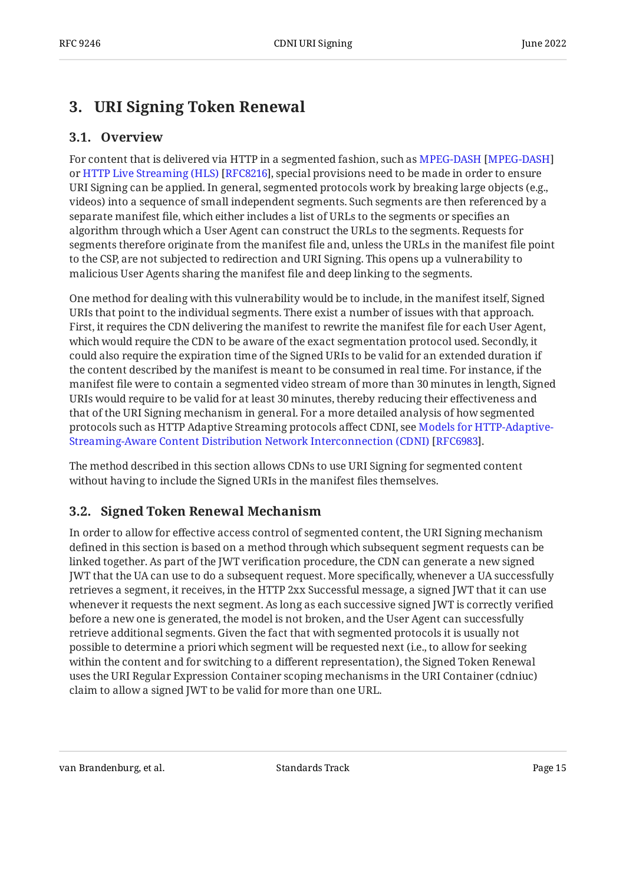## <span id="page-14-1"></span><span id="page-14-0"></span>**[3. URI Signing Token Renewal](#page-14-0)**

### **[3.1. Overview](#page-14-1)**

For content that is delivered via HTTP in a segmented fashion, such as [MPEG-DASH](#page-31-3) [\[MPEG-DASH](#page-31-3)] orHTTP Live Streaming (HLS) [RFC8216], special provisions need to be made in order to ensure URI Signing can be applied. In general, segmented protocols work by breaking large objects (e.g., videos) into a sequence of small independent segments. Such segments are then referenced by a separate manifest file, which either includes a list of URLs to the segments or specifies an algorithm through which a User Agent can construct the URLs to the segments. Requests for segments therefore originate from the manifest file and, unless the URLs in the manifest file point to the CSP, are not subjected to redirection and URI Signing. This opens up a vulnerability to malicious User Agents sharing the manifest file and deep linking to the segments.

One method for dealing with this vulnerability would be to include, in the manifest itself, Signed URIs that point to the individual segments. There exist a number of issues with that approach. First, it requires the CDN delivering the manifest to rewrite the manifest file for each User Agent, which would require the CDN to be aware of the exact segmentation protocol used. Secondly, it could also require the expiration time of the Signed URIs to be valid for an extended duration if the content described by the manifest is meant to be consumed in real time. For instance, if the manifest file were to contain a segmented video stream of more than 30 minutes in length, Signed URIs would require to be valid for at least 30 minutes, thereby reducing their effectiveness and that of the URI Signing mechanism in general. For a more detailed analysis of how segmented protocols such as HTTP Adaptive Streaming protocols affect CDNI, see [Models for HTTP-Adaptive-](#page-31-5). [Streaming-Aware Content Distribution Network Interconnection \(CDNI\)](#page-31-5) [[RFC6983\]](#page-31-5)

The method described in this section allows CDNs to use URI Signing for segmented content without having to include the Signed URIs in the manifest files themselves.

## <span id="page-14-2"></span>**[3.2. Signed Token Renewal Mechanism](#page-14-2)**

In order to allow for effective access control of segmented content, the URI Signing mechanism defined in this section is based on a method through which subsequent segment requests can be linked together. As part of the JWT verification procedure, the CDN can generate a new signed JWT that the UA can use to do a subsequent request. More specifically, whenever a UA successfully retrieves a segment, it receives, in the HTTP 2xx Successful message, a signed JWT that it can use whenever it requests the next segment. As long as each successive signed JWT is correctly verified before a new one is generated, the model is not broken, and the User Agent can successfully retrieve additional segments. Given the fact that with segmented protocols it is usually not possible to determine a priori which segment will be requested next (i.e., to allow for seeking within the content and for switching to a different representation), the Signed Token Renewal uses the URI Regular Expression Container scoping mechanisms in the URI Container (cdniuc) claim to allow a signed JWT to be valid for more than one URL.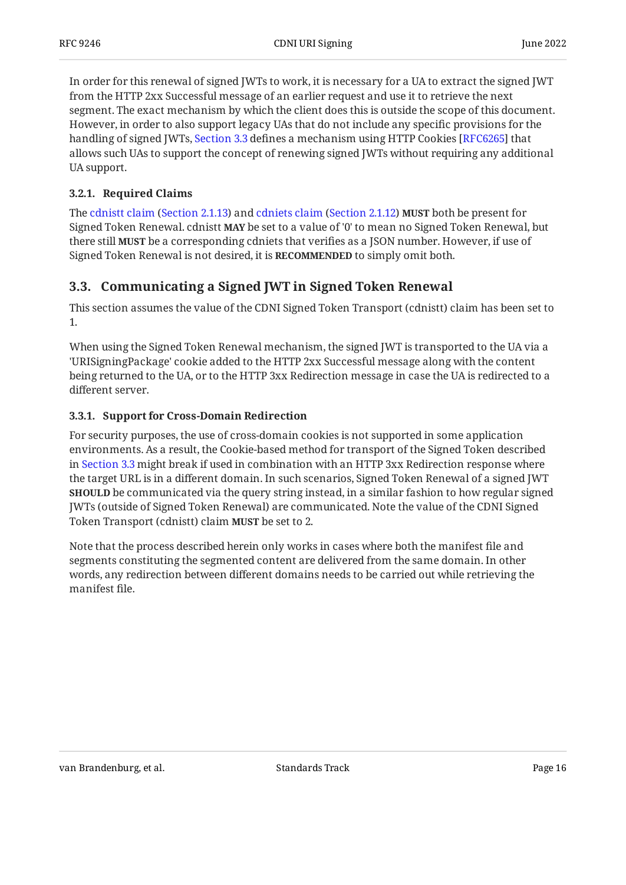In order for this renewal of signed JWTs to work, it is necessary for a UA to extract the signed JWT from the HTTP 2xx Successful message of an earlier request and use it to retrieve the next segment. The exact mechanism by which the client does this is outside the scope of this document. However, in order to also support legacy UAs that do not include any specific provisions for the handling of signed JWTs, [Section 3.3](#page-15-1) defines a mechanism using HTTP Cookies [RFC6265] that allows such UAs to support the concept of renewing signed JWTs without requiring any additional UA support.

#### <span id="page-15-0"></span>**[3.2.1. Required Claims](#page-15-0)**

Thecdnistt claim (Section 2.1.13) and cdniets claim (Section 2.1.12) **MUST** both be present for Signed Token Renewal. cdnistt **MAY** be set to a value of '0' to mean no Signed Token Renewal, but there still **MUST** be a corresponding cdniets that verifies as a JSON number. However, if use of Signed Token Renewal is not desired, it is RECOMMENDED to simply omit both.

### <span id="page-15-1"></span>**[3.3. Communicating a Signed JWT in Signed Token Renewal](#page-15-1)**

This section assumes the value of the CDNI Signed Token Transport (cdnistt) claim has been set to 1.

When using the Signed Token Renewal mechanism, the signed JWT is transported to the UA via a 'URISigningPackage' cookie added to the HTTP 2xx Successful message along with the content being returned to the UA, or to the HTTP 3xx Redirection message in case the UA is redirected to a different server.

#### <span id="page-15-2"></span>**[3.3.1. Support for Cross-Domain Redirection](#page-15-2)**

For security purposes, the use of cross-domain cookies is not supported in some application environments. As a result, the Cookie-based method for transport of the Signed Token described in [Section 3.3](#page-15-1) might break if used in combination with an HTTP 3xx Redirection response where the target URL is in a different domain. In such scenarios, Signed Token Renewal of a signed JWT be communicated via the query string instead, in a similar fashion to how regular signed **SHOULD** JWTs (outside of Signed Token Renewal) are communicated. Note the value of the CDNI Signed Token Transport (cdnistt) claim **MUST** be set to 2.

Note that the process described herein only works in cases where both the manifest file and segments constituting the segmented content are delivered from the same domain. In other words, any redirection between different domains needs to be carried out while retrieving the manifest file.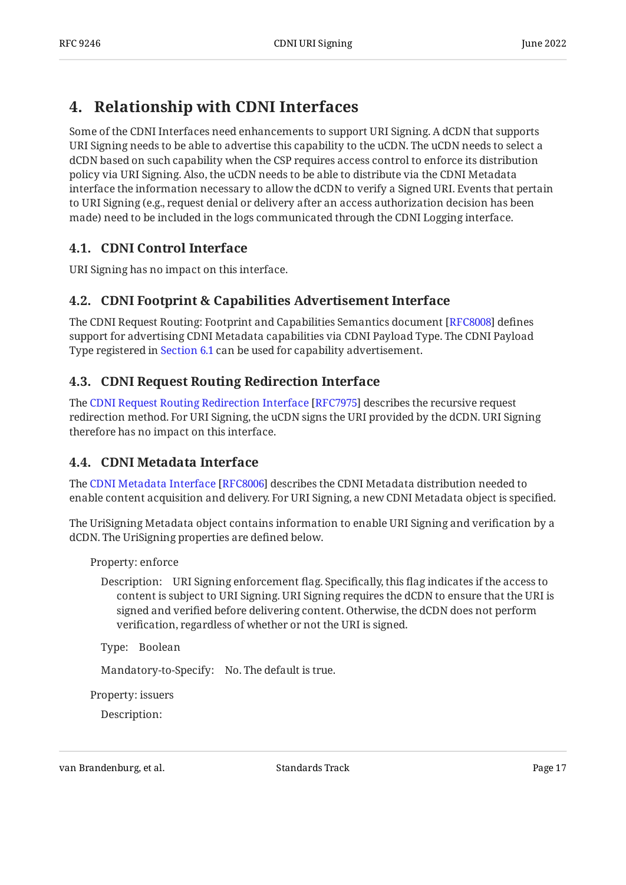## <span id="page-16-0"></span>**[4. Relationship with CDNI Interfaces](#page-16-0)**

Some of the CDNI Interfaces need enhancements to support URI Signing. A dCDN that supports URI Signing needs to be able to advertise this capability to the uCDN. The uCDN needs to select a dCDN based on such capability when the CSP requires access control to enforce its distribution policy via URI Signing. Also, the uCDN needs to be able to distribute via the CDNI Metadata interface the information necessary to allow the dCDN to verify a Signed URI. Events that pertain to URI Signing (e.g., request denial or delivery after an access authorization decision has been made) need to be included in the logs communicated through the CDNI Logging interface.

## <span id="page-16-1"></span>**[4.1. CDNI Control Interface](#page-16-1)**

<span id="page-16-2"></span>URI Signing has no impact on this interface.

### **[4.2. CDNI Footprint & Capabilities Advertisement Interface](#page-16-2)**

The CDNI Request Routing: Footprint and Capabilities Semantics document [RFC8008] defines support for advertising CDNI Metadata capabilities via CDNI Payload Type. The CDNI Payload Type registered in [Section 6.1](#page-24-1) can be used for capability advertisement.

## <span id="page-16-3"></span>**[4.3. CDNI Request Routing Redirection Interface](#page-16-3)**

TheCDNI Request Routing Redirection Interface [RFC7975] describes the recursive request redirection method. For URI Signing, the uCDN signs the URI provided by the dCDN. URI Signing therefore has no impact on this interface.

## <span id="page-16-4"></span>**[4.4. CDNI Metadata Interface](#page-16-4)**

TheCDNI Metadata Interface [RFC8006] describes the CDNI Metadata distribution needed to enable content acquisition and delivery. For URI Signing, a new CDNI Metadata object is specified.

The UriSigning Metadata object contains information to enable URI Signing and verification by a dCDN. The UriSigning properties are defined below.

Property: enforce

Description: URI Signing enforcement flag. Specifically, this flag indicates if the access to content is subject to URI Signing. URI Signing requires the dCDN to ensure that the URI is signed and verified before delivering content. Otherwise, the dCDN does not perform verification, regardless of whether or not the URI is signed.

Type: Boolean

Mandatory-to-Specify: No. The default is true.

Property: issuers

Description: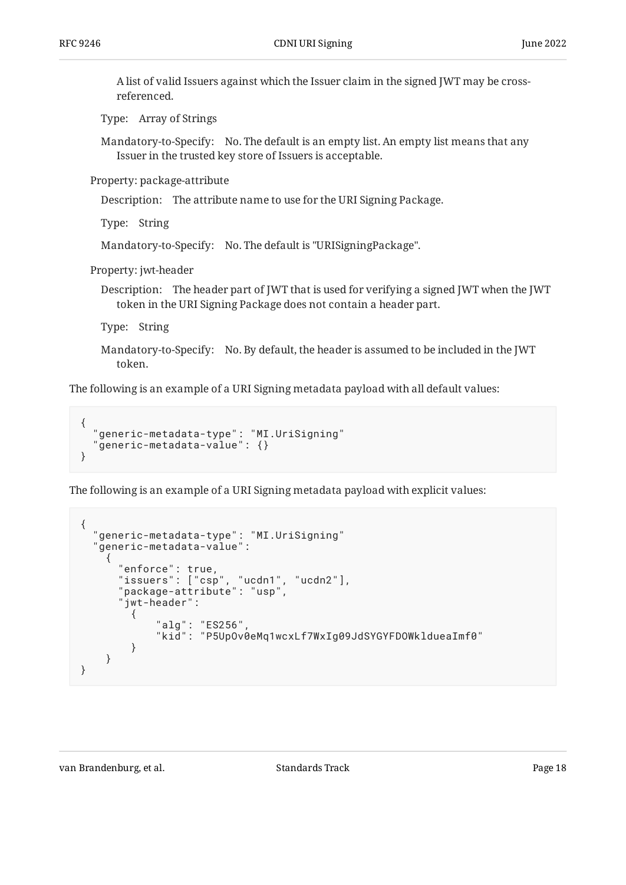A list of valid Issuers against which the Issuer claim in the signed JWT may be crossreferenced.

Type: Array of Strings

Mandatory-to-Specify: No. The default is an empty list. An empty list means that any Issuer in the trusted key store of Issuers is acceptable.

Property: package-attribute

Description: The attribute name to use for the URI Signing Package.

Type: String

Mandatory-to-Specify: No. The default is "URISigningPackage".

Property: jwt-header

Description: The header part of JWT that is used for verifying a signed JWT when the JWT token in the URI Signing Package does not contain a header part.

Type: String

Mandatory-to-Specify: No. By default, the header is assumed to be included in the JWT token.

The following is an example of a URI Signing metadata payload with all default values:

```
{
   "generic-metadata-type": "MI.UriSigning"
   "generic-metadata-value": {}
}
```
The following is an example of a URI Signing metadata payload with explicit values:

```
{
    "generic-metadata-type": "MI.UriSigning"
    "generic-metadata-value":
\{ \cdot \cdot \cdot \cdot \cdot \cdot \cdot \cdot \cdot \cdot \cdot \cdot \cdot \cdot \cdot \cdot \cdot \cdot \cdot \cdot \cdot \cdot \cdot \cdot \cdot \cdot \cdot \cdot \cdot \cdot \cdot \cdot \cdot \cdot \cdot \cdot 
           "enforce": true,
           "issuers": ["csp", "ucdn1", "ucdn2"],
           "package-attribute": "usp",
           "jwt-header":
\{ "alg": "ES256",
 "kid": "P5UpOv0eMq1wcxLf7WxIg09JdSYGYFDOWkldueaImf0"
               }
       }
}
```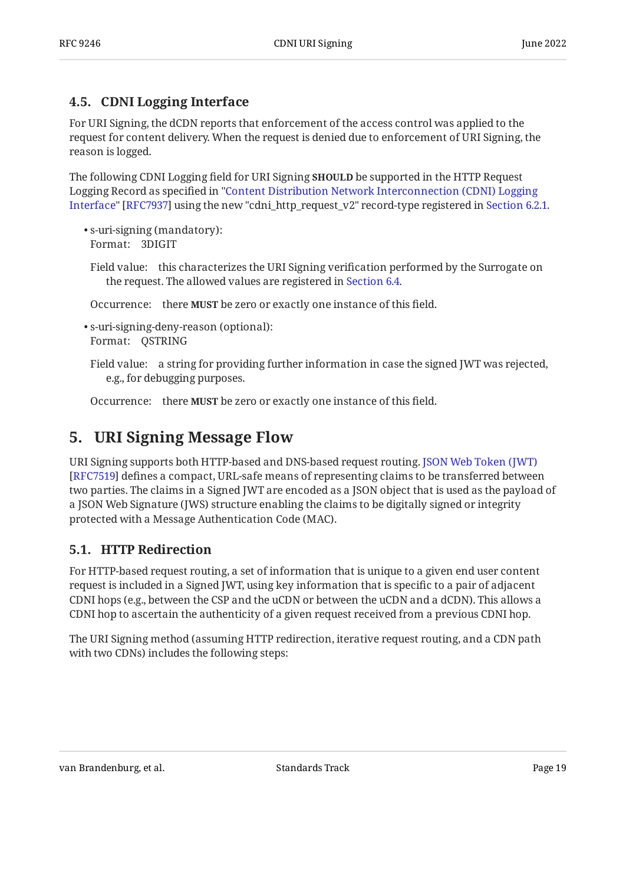### <span id="page-18-0"></span>**[4.5. CDNI Logging Interface](#page-18-0)**

For URI Signing, the dCDN reports that enforcement of the access control was applied to the request for content delivery. When the request is denied due to enforcement of URI Signing, the reason is logged.

The following CDNI Logging field for URI Signing **SHOULD** be supported in the HTTP Request Logging Record as specified in ["Content Distribution Network Interconnection \(CDNI\) Logging](#page-30-12) [Interface](#page-30-12)" [RFC7937] using the new "cdni\_http\_request\_v2" record-type registered in [Section 6.2.1.](#page-24-4)  $\,$ 

- Format: 3DIGIT s-uri-signing (mandatory): •
- Field value: this characterizes the URI Signing verification performed by the Surrogate on the request. The allowed values are registered in [Section 6.4.](#page-25-0)

Occurrence: there **MUST** be zero or exactly one instance of this field.

Format: QSTRING s-uri-signing-deny-reason (optional): •

Field value: a string for providing further information in case the signed JWT was rejected, e.g., for debugging purposes.

<span id="page-18-1"></span>Occurrence: there **MUST** be zero or exactly one instance of this field.

## **[5. URI Signing Message Flow](#page-18-1)**

URI Signing supports both HTTP-based and DNS-based request routing. [JSON Web Token \(JWT\)](#page-30-2) [[RFC7519\]](#page-30-2) defines a compact, URL-safe means of representing claims to be transferred between two parties. The claims in a Signed JWT are encoded as a JSON object that is used as the payload of a JSON Web Signature (JWS) structure enabling the claims to be digitally signed or integrity protected with a Message Authentication Code (MAC).

## <span id="page-18-2"></span>**[5.1. HTTP Redirection](#page-18-2)**

For HTTP-based request routing, a set of information that is unique to a given end user content request is included in a Signed JWT, using key information that is specific to a pair of adjacent CDNI hops (e.g., between the CSP and the uCDN or between the uCDN and a dCDN). This allows a CDNI hop to ascertain the authenticity of a given request received from a previous CDNI hop.

<span id="page-18-3"></span>The URI Signing method (assuming HTTP redirection, iterative request routing, and a CDN path with two CDNs) includes the following steps: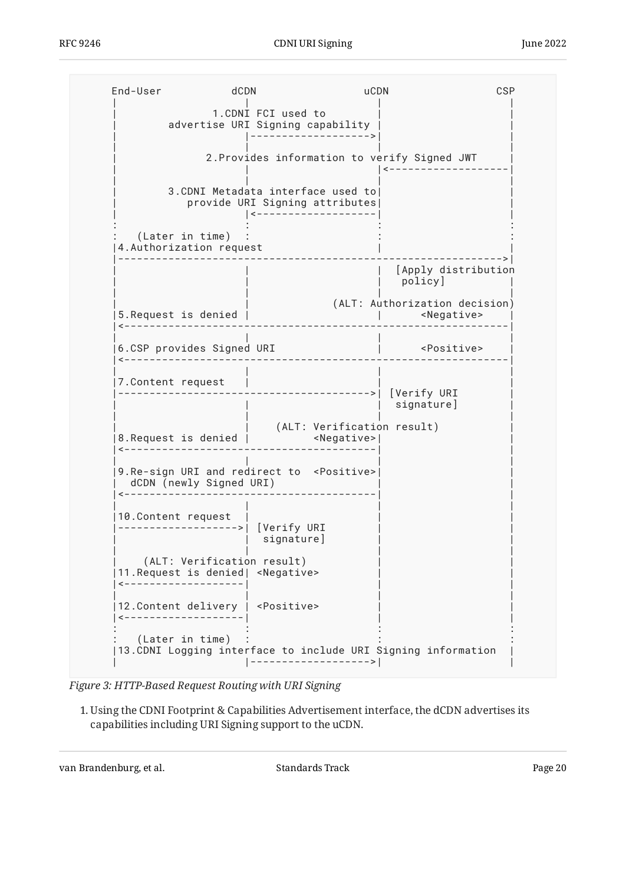<span id="page-19-0"></span>

| (Later in time)<br>4. Authorization request<br>5. Request is denied  <br>6.CSP provides Signed URI | 1. CDNI FCI used to<br>advertise URI Signing capability<br>3. CDNI Metadata interface used to<br>provide URI Signing attributes |                                                                                                                                                                       | 2. Provides information to verify Signed JWT<br>[Apply distribution<br>policy]<br>(ALT: Authorization decision)<br><negative><br/><positive></positive></negative>                                            |
|----------------------------------------------------------------------------------------------------|---------------------------------------------------------------------------------------------------------------------------------|-----------------------------------------------------------------------------------------------------------------------------------------------------------------------|---------------------------------------------------------------------------------------------------------------------------------------------------------------------------------------------------------------|
|                                                                                                    |                                                                                                                                 |                                                                                                                                                                       |                                                                                                                                                                                                               |
|                                                                                                    |                                                                                                                                 |                                                                                                                                                                       |                                                                                                                                                                                                               |
|                                                                                                    |                                                                                                                                 |                                                                                                                                                                       |                                                                                                                                                                                                               |
|                                                                                                    |                                                                                                                                 |                                                                                                                                                                       |                                                                                                                                                                                                               |
|                                                                                                    |                                                                                                                                 |                                                                                                                                                                       |                                                                                                                                                                                                               |
|                                                                                                    |                                                                                                                                 |                                                                                                                                                                       |                                                                                                                                                                                                               |
|                                                                                                    |                                                                                                                                 |                                                                                                                                                                       |                                                                                                                                                                                                               |
| 7. Content request                                                                                 |                                                                                                                                 | $---2$                                                                                                                                                                | [Verify URI<br>signature]                                                                                                                                                                                     |
|                                                                                                    |                                                                                                                                 |                                                                                                                                                                       |                                                                                                                                                                                                               |
|                                                                                                    |                                                                                                                                 |                                                                                                                                                                       |                                                                                                                                                                                                               |
| 10. Content request                                                                                | [Verify URI<br>signature]                                                                                                       |                                                                                                                                                                       |                                                                                                                                                                                                               |
| ----------------                                                                                   |                                                                                                                                 |                                                                                                                                                                       |                                                                                                                                                                                                               |
|                                                                                                    |                                                                                                                                 |                                                                                                                                                                       |                                                                                                                                                                                                               |
|                                                                                                    | (Later in time)                                                                                                                 | 8.Request is denied  <br>dCDN (newly Signed URI)<br>(ALT: Verification result)<br>11. Request is denied   < Negative><br>12. Content delivery   <positive></positive> | (ALT: Verification result)<br><negative> <br/>9. Re-sign URI and redirect to <positive><br/>13. CDNI Logging interface to include URI Signing information<br/> -------------------&gt; </positive></negative> |

*[Figure 3:](#page-19-0) [HTTP-Based Request Routing with URI Signing](#page-18-3)* 

Using the CDNI Footprint & Capabilities Advertisement interface, the dCDN advertises its 1. capabilities including URI Signing support to the uCDN.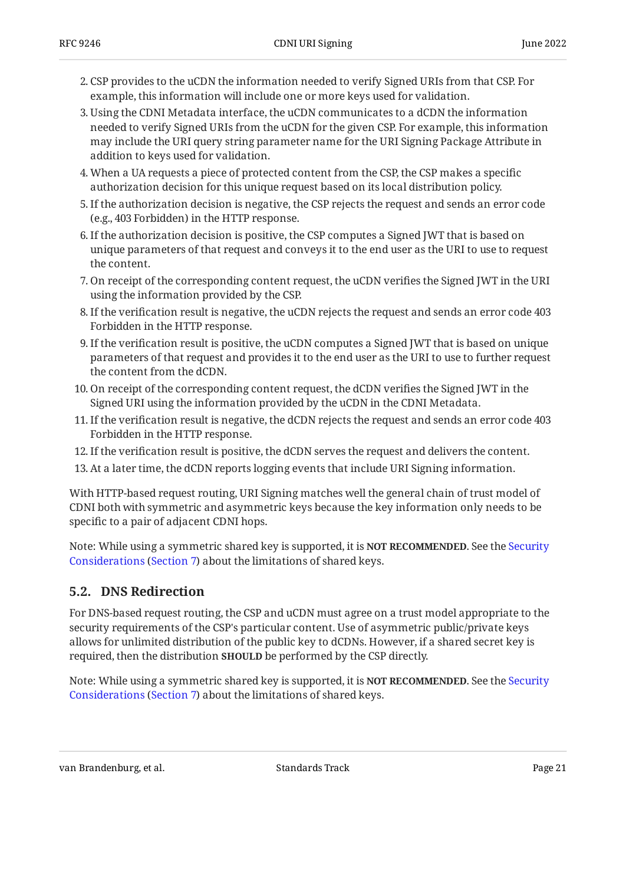- CSP provides to the uCDN the information needed to verify Signed URIs from that CSP. For 2. example, this information will include one or more keys used for validation.
- Using the CDNI Metadata interface, the uCDN communicates to a dCDN the information 3. needed to verify Signed URIs from the uCDN for the given CSP. For example, this information may include the URI query string parameter name for the URI Signing Package Attribute in addition to keys used for validation.
- 4. When a UA requests a piece of protected content from the CSP, the CSP makes a specific authorization decision for this unique request based on its local distribution policy.
- If the authorization decision is negative, the CSP rejects the request and sends an error code 5. (e.g., 403 Forbidden) in the HTTP response.
- 6. If the authorization decision is positive, the CSP computes a Signed JWT that is based on unique parameters of that request and conveys it to the end user as the URI to use to request the content.
- 7. On receipt of the corresponding content request, the uCDN verifies the Signed JWT in the URI using the information provided by the CSP.
- If the verification result is negative, the uCDN rejects the request and sends an error code 403 8. Forbidden in the HTTP response.
- If the verification result is positive, the uCDN computes a Signed JWT that is based on unique 9. parameters of that request and provides it to the end user as the URI to use to further request the content from the dCDN.
- 10. On receipt of the corresponding content request, the dCDN verifies the Signed JWT in the Signed URI using the information provided by the uCDN in the CDNI Metadata.
- If the verification result is negative, the dCDN rejects the request and sends an error code 403 11. Forbidden in the HTTP response.
- 12. If the verification result is positive, the dCDN serves the request and delivers the content.
- 13. At a later time, the dCDN reports logging events that include URI Signing information.

With HTTP-based request routing, URI Signing matches well the general chain of trust model of CDNI both with symmetric and asymmetric keys because the key information only needs to be specific to a pair of adjacent CDNI hops.

Note: While using a symmetric shared key is supported, it is **NOT RECOMMENDED**. See the [Security](#page-28-0) [Considerations](#page-28-0) ([Section 7\)](#page-28-0) about the limitations of shared keys.

### <span id="page-20-0"></span>**[5.2. DNS Redirection](#page-20-0)**

For DNS-based request routing, the CSP and uCDN must agree on a trust model appropriate to the security requirements of the CSP's particular content. Use of asymmetric public/private keys allows for unlimited distribution of the public key to dCDNs. However, if a shared secret key is required, then the distribution **SHOULD** be performed by the CSP directly.

Note: While using a symmetric shared key is supported, it is **NOT RECOMMENDED**. See the [Security](#page-28-0) [Considerations](#page-28-0) ([Section 7\)](#page-28-0) about the limitations of shared keys.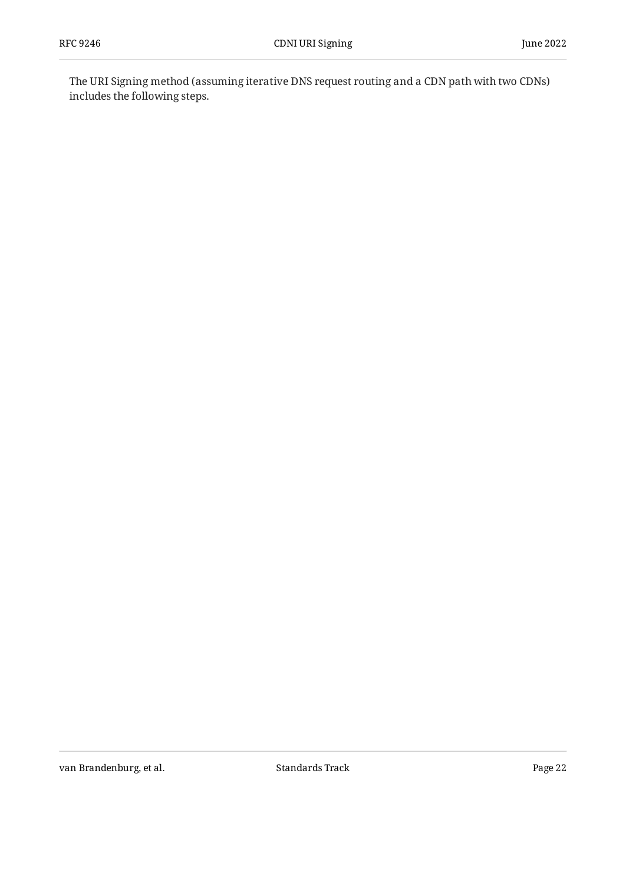<span id="page-21-0"></span>The URI Signing method (assuming iterative DNS request routing and a CDN path with two CDNs) includes the following steps.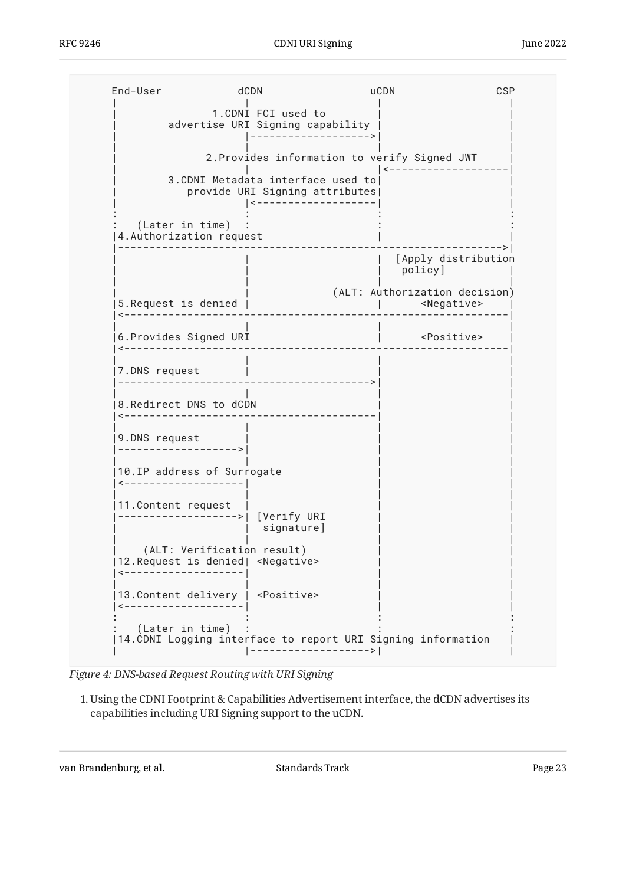<span id="page-22-0"></span> End-User dCDN uCDN CSP | | | |  $1.$  CDNI FCI used to  $\,$ advertise URI Signing capability | | |------------------->| | | | | | 2. Provides information to verify Signed JWT | | |<-------------------| | 3.CDNI Metadata interface used to| | provide URI Signing attributes | |<-------------------| |  $\mathbf{r} \in \mathbb{R}^n$  :  $\mathbf{r} \in \mathbb{R}^n$  :  $\mathbf{r} \in \mathbb{R}^n$  :  $\mathbf{r} \in \mathbb{R}^n$  :  $\mathbf{r} \in \mathbb{R}^n$  :  $\mathbf{r} \in \mathbb{R}^n$  :  $\mathbf{r} \in \mathbb{R}^n$  $(later in time)$  : |4.Authorization request | | |------------------------------------------------------------->| | | | [Apply distribution policy] | | | | | | (ALT: Authorization decision) |5.Request is denied | | <Negative> | |<-------------------------------------------------------------| | | | | |6.Provides Signed URI | <Positive> | |<-------------------------------------------------------------| | | | | |7.DNS request | | | |---------------------------------------->| | | | | | 8.Redirect DNS to dCDN |<----------------------------------------| | | | | | 9.DNS request |------------------->| | | | | | |  $|10$ . IP address of Surrogate |<-------------------| | | | | | | |11.Content request | | | |------------------->| [Verify URI | signature] | | | | (ALT: Verification result) |12. Request is denied| <Negative> |<-------------------| | | | | | | |13.Content delivery | <Positive> |<-------------------| | |  $\mathbf{r} \in \mathbb{R}$  :  $\mathbf{r} \in \mathbb{R}$  is the set of  $\mathbf{r} \in \mathbb{R}$  . The set of  $\mathbf{r} \in \mathbb{R}$  is the set of  $\mathbf{r} \in \mathbb{R}$ (Later in time) |14.CDNI Logging interface to report URI Signing information | | |------------------->| |

*[Figure 4:](#page-22-0) [DNS-based Request Routing with URI Signing](#page-21-0)* 

Using the CDNI Footprint & Capabilities Advertisement interface, the dCDN advertises its 1. capabilities including URI Signing support to the uCDN.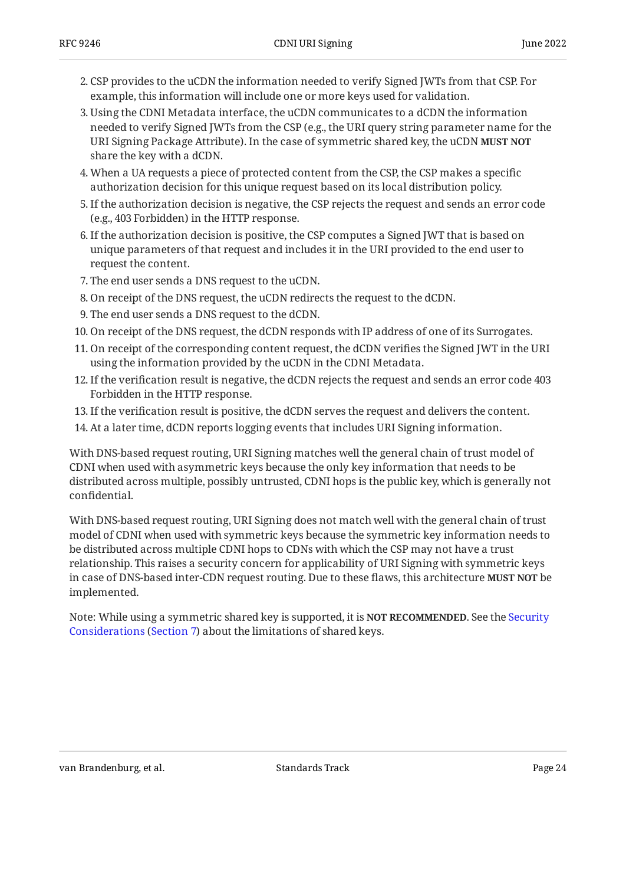- CSP provides to the uCDN the information needed to verify Signed JWTs from that CSP. For 2. example, this information will include one or more keys used for validation.
- Using the CDNI Metadata interface, the uCDN communicates to a dCDN the information 3. needed to verify Signed JWTs from the CSP (e.g., the URI query string parameter name for the URI Signing Package Attribute). In the case of symmetric shared key, the uCDN **MUST NOT** share the key with a dCDN.
- 4. When a UA requests a piece of protected content from the CSP, the CSP makes a specific authorization decision for this unique request based on its local distribution policy.
- If the authorization decision is negative, the CSP rejects the request and sends an error code 5. (e.g., 403 Forbidden) in the HTTP response.
- 6. If the authorization decision is positive, the CSP computes a Signed JWT that is based on unique parameters of that request and includes it in the URI provided to the end user to request the content.
- The end user sends a DNS request to the uCDN. 7.
- 8. On receipt of the DNS request, the uCDN redirects the request to the dCDN.
- The end user sends a DNS request to the dCDN. 9.
- 10. On receipt of the DNS request, the dCDN responds with IP address of one of its Surrogates.
- 11. On receipt of the corresponding content request, the dCDN verifies the Signed JWT in the URI using the information provided by the uCDN in the CDNI Metadata.
- 12. If the verification result is negative, the dCDN rejects the request and sends an error code 403  $\,$ Forbidden in the HTTP response.
- If the verification result is positive, the dCDN serves the request and delivers the content. 13.
- 14. At a later time, dCDN reports logging events that includes URI Signing information.

With DNS-based request routing, URI Signing matches well the general chain of trust model of CDNI when used with asymmetric keys because the only key information that needs to be distributed across multiple, possibly untrusted, CDNI hops is the public key, which is generally not confidential.

With DNS-based request routing, URI Signing does not match well with the general chain of trust model of CDNI when used with symmetric keys because the symmetric key information needs to be distributed across multiple CDNI hops to CDNs with which the CSP may not have a trust relationship. This raises a security concern for applicability of URI Signing with symmetric keys in case of DNS-based inter-CDN request routing. Due to these flaws, this architecture **MUST NOT** be implemented.

Note: While using a symmetric shared key is supported, it is **NOT RECOMMENDED**. See the [Security](#page-28-0) [Considerations](#page-28-0) ([Section 7\)](#page-28-0) about the limitations of shared keys.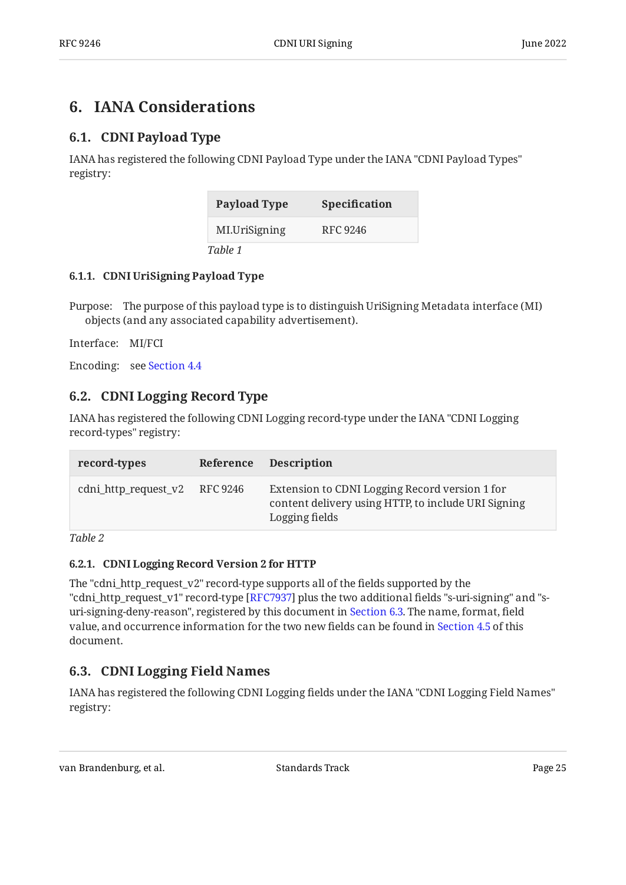## <span id="page-24-1"></span><span id="page-24-0"></span>**[6. IANA Considerations](#page-24-0)**

## **[6.1. CDNI Payload Type](#page-24-1)**

IANA has registered the following CDNI Payload Type under the IANA "CDNI Payload Types" registry:

<span id="page-24-6"></span>

| <b>Payload Type</b> | <b>Specification</b> |
|---------------------|----------------------|
| MI.UriSigning       | RFC 9246             |
| Table 1             |                      |

#### <span id="page-24-2"></span>**[6.1.1. CDNI UriSigning Payload Type](#page-24-2)**

Purpose: The purpose of this payload type is to distinguish UriSigning Metadata interface (MI) objects (and any associated capability advertisement).

Interface: MI/FCI

<span id="page-24-3"></span>Encoding: see [Section 4.4](#page-16-4)

## **[6.2. CDNI Logging Record Type](#page-24-3)**

IANA has registered the following CDNI Logging record-type under the IANA "CDNI Logging record-types" registry:

<span id="page-24-7"></span>

| record-types                  | Reference Description                                                                                                   |
|-------------------------------|-------------------------------------------------------------------------------------------------------------------------|
| cdni_http_request_v2 RFC 9246 | Extension to CDNI Logging Record version 1 for<br>content delivery using HTTP, to include URI Signing<br>Logging fields |

<span id="page-24-4"></span>*[Table 2](#page-24-7)*

#### **[6.2.1. CDNI Logging Record Version 2 for HTTP](#page-24-4)**

The "cdni\_http\_request\_v2" record-type supports all of the fields supported by the "cdni\_http\_request\_v1" record-type [[RFC7937\]](#page-30-12) plus the two additional fields "s-uri-signing" and "suri-signing-deny-reason", registered by this document in [Section 6.3](#page-24-5). The name, format, field value, and occurrence information for the two new fields can be found in [Section 4.5](#page-18-0) of this document.

## <span id="page-24-5"></span>**[6.3. CDNI Logging Field Names](#page-24-5)**

IANA has registered the following CDNI Logging fields under the IANA "CDNI Logging Field Names" registry: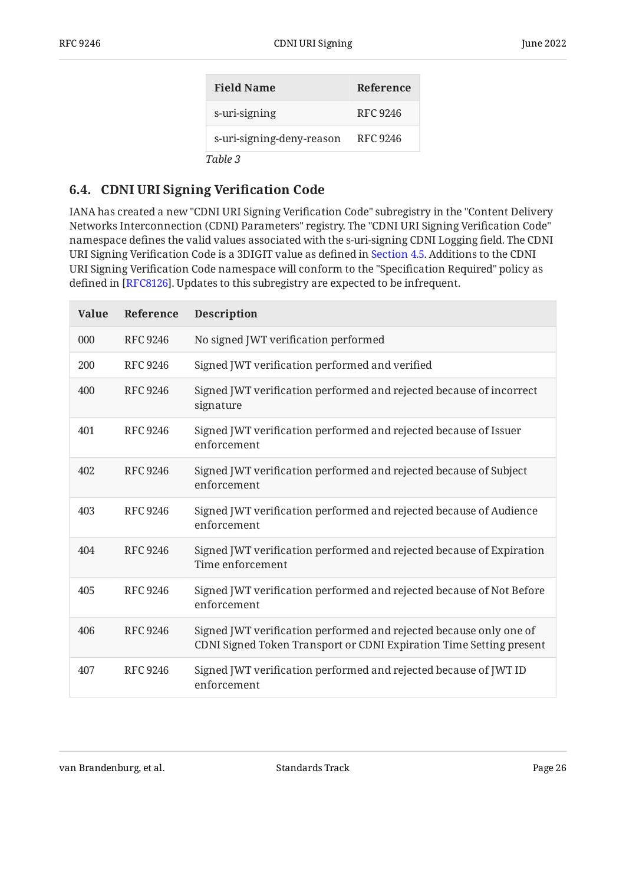<span id="page-25-1"></span>

| <b>Field Name</b>         | Reference       |
|---------------------------|-----------------|
| s-uri-signing             | <b>RFC 9246</b> |
| s-uri-signing-deny-reason | RFC 9246        |
| Table 3                   |                 |

### <span id="page-25-0"></span>**[6.4. CDNI URI Signing Veri](#page-25-0)fication Code**

IANA has created a new "CDNI URI Signing Verification Code" subregistry in the "Content Delivery Networks Interconnection (CDNI) Parameters" registry. The "CDNI URI Signing Verification Code" namespace defines the valid values associated with the s-uri-signing CDNI Logging field. The CDNI URI Signing Verification Code is a 3DIGIT value as defined in [Section 4.5](#page-18-0). Additions to the CDNI URI Signing Verification Code namespace will conform to the "Specification Required" policy as defined in [[RFC8126\]](#page-30-13). Updates to this subregistry are expected to be infrequent.

<span id="page-25-2"></span>

| <b>Value</b> | Reference       | <b>Description</b>                                                                                                                        |
|--------------|-----------------|-------------------------------------------------------------------------------------------------------------------------------------------|
| 000          | <b>RFC 9246</b> | No signed JWT verification performed                                                                                                      |
| 200          | <b>RFC 9246</b> | Signed JWT verification performed and verified                                                                                            |
| 400          | <b>RFC 9246</b> | Signed JWT verification performed and rejected because of incorrect<br>signature                                                          |
| 401          | <b>RFC 9246</b> | Signed JWT verification performed and rejected because of Issuer<br>enforcement                                                           |
| 402          | <b>RFC 9246</b> | Signed JWT verification performed and rejected because of Subject<br>enforcement                                                          |
| 403          | <b>RFC 9246</b> | Signed JWT verification performed and rejected because of Audience<br>enforcement                                                         |
| 404          | <b>RFC 9246</b> | Signed JWT verification performed and rejected because of Expiration<br>Time enforcement                                                  |
| 405          | <b>RFC 9246</b> | Signed JWT verification performed and rejected because of Not Before<br>enforcement                                                       |
| 406          | <b>RFC 9246</b> | Signed JWT verification performed and rejected because only one of<br>CDNI Signed Token Transport or CDNI Expiration Time Setting present |
| 407          | <b>RFC 9246</b> | Signed JWT verification performed and rejected because of JWT ID<br>enforcement                                                           |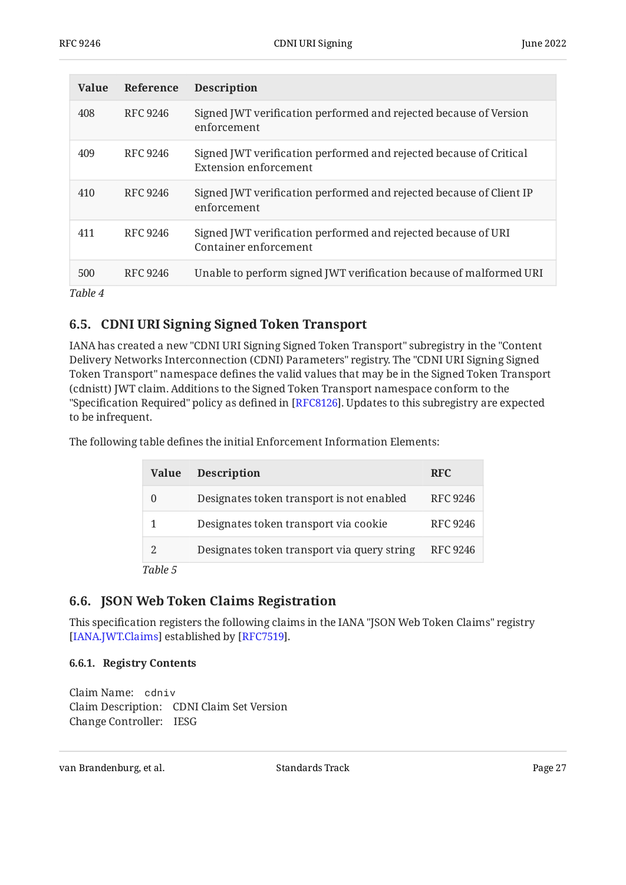| <b>Value</b> | Reference | <b>Description</b>                                                                                 |
|--------------|-----------|----------------------------------------------------------------------------------------------------|
| 408          | RFC 9246  | Signed JWT verification performed and rejected because of Version<br>enforcement                   |
| 409          | RFC 9246  | Signed JWT verification performed and rejected because of Critical<br><b>Extension enforcement</b> |
| 410          | RFC 9246  | Signed JWT verification performed and rejected because of Client IP<br>enforcement                 |
| 411          | RFC 9246  | Signed JWT verification performed and rejected because of URI<br>Container enforcement             |
| 500          | RFC 9246  | Unable to perform signed JWT verification because of malformed URI                                 |
| Table 4      |           |                                                                                                    |

### <span id="page-26-0"></span>**[6.5. CDNI URI Signing Signed Token Transport](#page-26-0)**

IANA has created a new "CDNI URI Signing Signed Token Transport" subregistry in the "Content Delivery Networks Interconnection (CDNI) Parameters" registry. The "CDNI URI Signing Signed Token Transport" namespace defines the valid values that may be in the Signed Token Transport (cdnistt) JWT claim. Additions to the Signed Token Transport namespace conform to the "Specification Required" policy as defined in [RFC8126]. Updates to this subregistry are expected to be infrequent.

The following table defines the initial Enforcement Information Elements:

<span id="page-26-3"></span>

| <b>Value</b> | <b>Description</b>                          | <b>RFC</b>      |
|--------------|---------------------------------------------|-----------------|
| 0            | Designates token transport is not enabled   | <b>RFC 9246</b> |
| 1            | Designates token transport via cookie       | <b>RFC 9246</b> |
| 2            | Designates token transport via query string | RFC 9246        |
| Table 5      |                                             |                 |

### <span id="page-26-1"></span>**[6.6. JSON Web Token Claims Registration](#page-26-1)**

This specification registers the following claims in the IANA "JSON Web Token Claims" registry [[IANA.JWT.Claims\]](#page-31-8) established by [\[](#page-30-2)RFC7519].

#### <span id="page-26-2"></span>**[6.6.1. Registry Contents](#page-26-2)**

Claim Name: cdniv Claim Description: CDNI Claim Set Version Change Controller: IESG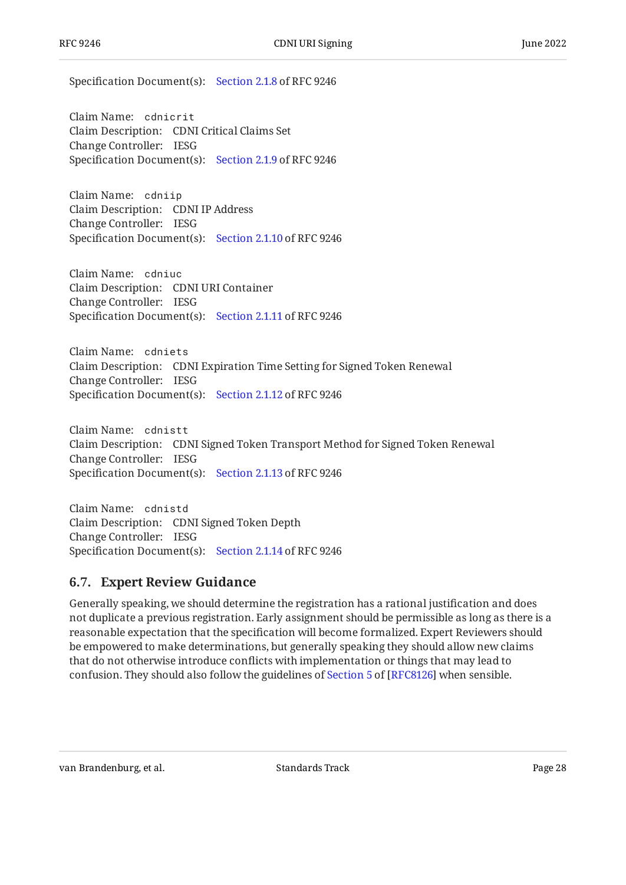Specification Document(s): [Section 2.1.8](#page-11-0) of RFC 9246

Claim Name: cdnicrit Claim Description: CDNI Critical Claims Set Change Controller: IESG Specification Document(s): [Section 2.1.9](#page-11-1) of RFC 9246

Claim Name: cdniip Claim Description: CDNI IP Address Change Controller: IESG Specification Document(s): [Section 2.1.10](#page-11-2) of RFC 9246

Claim Name: cdniuc Claim Description: CDNI URI Container Change Controller: IESG Specification Document(s): [Section 2.1.11](#page-12-0) of RFC 9246

Claim Name: cdniets Claim Description: CDNI Expiration Time Setting for Signed Token Renewal Change Controller: IESG Specification Document(s): [Section 2.1.12](#page-12-1) of RFC 9246

Claim Name: cdnistt Claim Description: CDNI Signed Token Transport Method for Signed Token Renewal Change Controller: IESG Specification Document(s): [Section 2.1.13](#page-12-2) of RFC 9246

Claim Name: cdnistd Claim Description: CDNI Signed Token Depth Change Controller: IESG Specification Document(s): [Section 2.1.14](#page-12-3) of RFC 9246

#### <span id="page-27-0"></span>**[6.7. Expert Review Guidance](#page-27-0)**

Generally speaking, we should determine the registration has a rational justification and does not duplicate a previous registration. Early assignment should be permissible as long as there is a reasonable expectation that the specification will become formalized. Expert Reviewers should be empowered to make determinations, but generally speaking they should allow new claims that do not otherwise introduce conflicts with implementation or things that may lead to confusion. They should also follow the guidelines of [Section 5](https://www.rfc-editor.org/rfc/rfc8126#section-5) of [[RFC8126\]](#page-30-13) when sensible.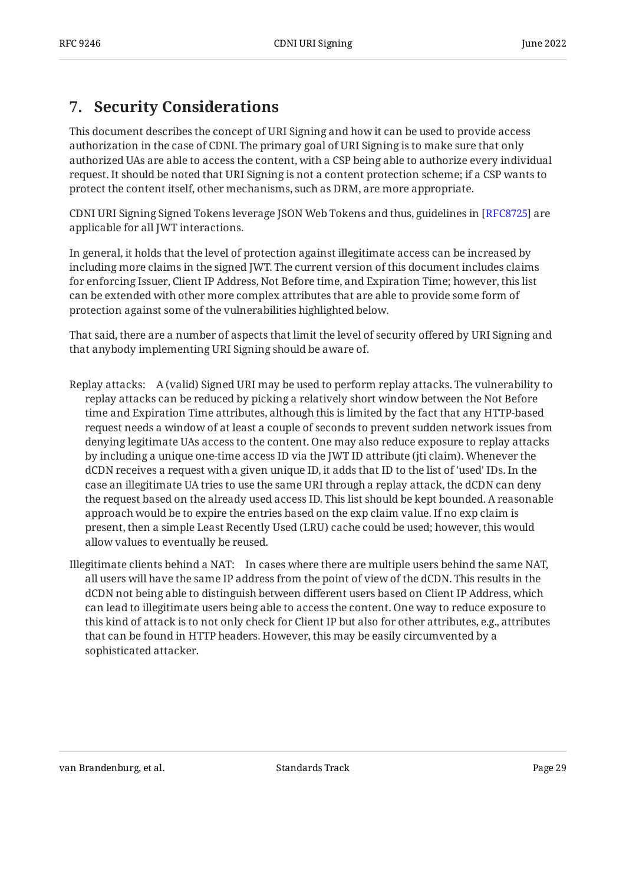## <span id="page-28-0"></span>**[7. Security Considerations](#page-28-0)**

This document describes the concept of URI Signing and how it can be used to provide access authorization in the case of CDNI. The primary goal of URI Signing is to make sure that only authorized UAs are able to access the content, with a CSP being able to authorize every individual request. It should be noted that URI Signing is not a content protection scheme; if a CSP wants to protect the content itself, other mechanisms, such as DRM, are more appropriate.

CDNI URI Signing Signed Tokens leverage JSON Web Tokens and thus, guidelines in [[RFC8725\]](#page-31-9) are applicable for all JWT interactions.

In general, it holds that the level of protection against illegitimate access can be increased by including more claims in the signed JWT. The current version of this document includes claims for enforcing Issuer, Client IP Address, Not Before time, and Expiration Time; however, this list can be extended with other more complex attributes that are able to provide some form of protection against some of the vulnerabilities highlighted below.

That said, there are a number of aspects that limit the level of security offered by URI Signing and that anybody implementing URI Signing should be aware of.

- Replay attacks: A (valid) Signed URI may be used to perform replay attacks. The vulnerability to replay attacks can be reduced by picking a relatively short window between the Not Before time and Expiration Time attributes, although this is limited by the fact that any HTTP-based request needs a window of at least a couple of seconds to prevent sudden network issues from denying legitimate UAs access to the content. One may also reduce exposure to replay attacks by including a unique one-time access ID via the JWT ID attribute (jti claim). Whenever the dCDN receives a request with a given unique ID, it adds that ID to the list of 'used' IDs. In the case an illegitimate UA tries to use the same URI through a replay attack, the dCDN can deny the request based on the already used access ID. This list should be kept bounded. A reasonable approach would be to expire the entries based on the exp claim value. If no exp claim is present, then a simple Least Recently Used (LRU) cache could be used; however, this would allow values to eventually be reused.
- Illegitimate clients behind a NAT: In cases where there are multiple users behind the same NAT, all users will have the same IP address from the point of view of the dCDN. This results in the dCDN not being able to distinguish between different users based on Client IP Address, which can lead to illegitimate users being able to access the content. One way to reduce exposure to this kind of attack is to not only check for Client IP but also for other attributes, e.g., attributes that can be found in HTTP headers. However, this may be easily circumvented by a sophisticated attacker.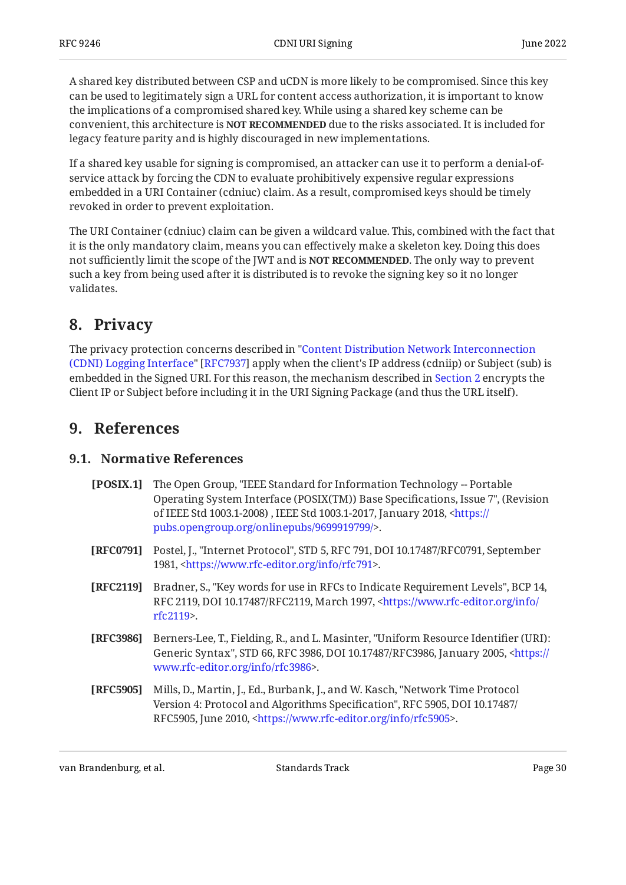A shared key distributed between CSP and uCDN is more likely to be compromised. Since this key can be used to legitimately sign a URL for content access authorization, it is important to know the implications of a compromised shared key. While using a shared key scheme can be convenient, this architecture is **NOT RECOMMENDED** due to the risks associated. It is included for legacy feature parity and is highly discouraged in new implementations.

If a shared key usable for signing is compromised, an attacker can use it to perform a denial-ofservice attack by forcing the CDN to evaluate prohibitively expensive regular expressions embedded in a URI Container (cdniuc) claim. As a result, compromised keys should be timely revoked in order to prevent exploitation.

The URI Container (cdniuc) claim can be given a wildcard value. This, combined with the fact that it is the only mandatory claim, means you can effectively make a skeleton key. Doing this does not sufficiently limit the scope of the JWT and is **NOT RECOMMENDED**. The only way to prevent such a key from being used after it is distributed is to revoke the signing key so it no longer validates.

## <span id="page-29-0"></span>**[8. Privacy](#page-29-0)**

The privacy protection concerns described in ["Content Distribution Network Interconnection](#page-30-12) [\(CDNI\) Logging Interface](#page-30-12)" [RFC7937] apply when the client's IP address (cdniip) or Subject (sub) is embedded in the Signed URI. For this reason, the mechanism described in [Section 2](#page-8-0) encrypts the Client IP or Subject before including it in the URI Signing Package (and thus the URL itself).

## <span id="page-29-2"></span><span id="page-29-1"></span>**[9. References](#page-29-1)**

### **[9.1. Normative References](#page-29-2)**

- <span id="page-29-7"></span>**[POSIX.1]** The Open Group, "IEEE Standard for Information Technology -- Portable , Operating System Interface (POSIX(TM)) Base Specifications, Issue 7" (Revision of IEEE Std 1003.1-2008) , IEEE Std 1003.1-2017, January 2018, <<del>https:</del>// . [pubs.opengroup.org/onlinepubs/9699919799/](https://pubs.opengroup.org/onlinepubs/9699919799/)>
- <span id="page-29-5"></span>**[RFC0791]** Postel, J., "Internet Protocol", STD 5, RFC 791, DOI 10.17487/RFC0791, September 1981, <[https://www.rfc-editor.org/info/rfc791>](https://www.rfc-editor.org/info/rfc791).
- <span id="page-29-3"></span>**[RFC2119]** Bradner, S., "Key words for use in RFCs to Indicate Requirement Levels", BCP 14, RFC 2119, DOI 10.17487/RFC2119, March 1997, [<https://www.rfc-editor.org/info/](https://www.rfc-editor.org/info/rfc2119) . [rfc2119](https://www.rfc-editor.org/info/rfc2119)>
- <span id="page-29-6"></span>**[RFC3986]** Berners-Lee, T., Fielding, R., and L. Masinter, "Uniform Resource Identifier (URI): Generic Syntax", STD 66, RFC 3986, DOI 10.17487/RFC3986, January 2005, [<https://](https://www.rfc-editor.org/info/rfc3986) . [www.rfc-editor.org/info/rfc3986>](https://www.rfc-editor.org/info/rfc3986)
- <span id="page-29-4"></span>**[RFC5905]** Mills, D., Martin, J., Ed., Burbank, J., and W. Kasch, "Network Time Protocol Version 4: Protocol and Algorithms Specification", RFC 5905, DOI 10.17487/ RFC5905, June 2010, <https://www.rfc-editor.org/info/rfc5905>.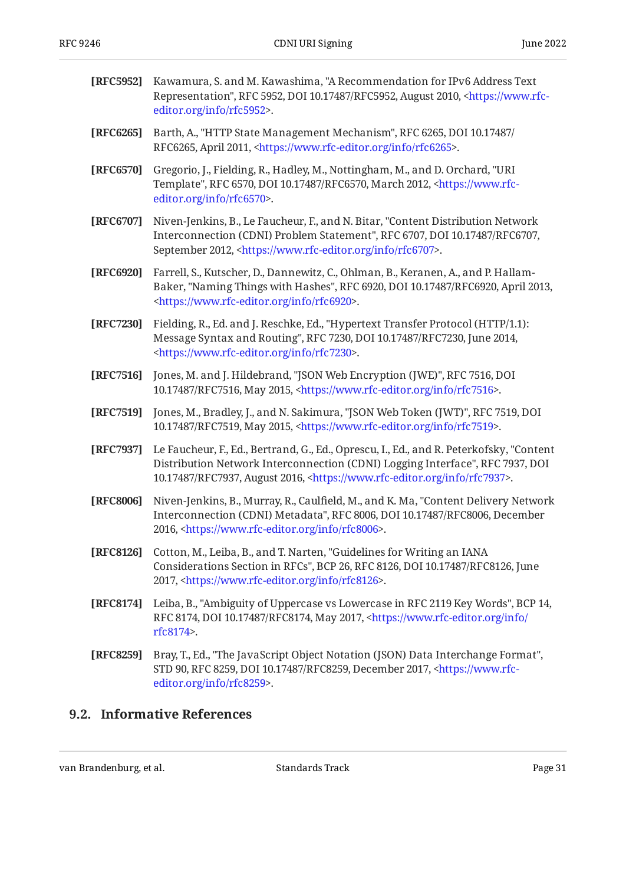<span id="page-30-9"></span><span id="page-30-8"></span><span id="page-30-7"></span><span id="page-30-6"></span><span id="page-30-5"></span><span id="page-30-4"></span><span id="page-30-1"></span>

| [RFC5952] | Kawamura, S. and M. Kawashima, "A Recommendation for IPv6 Address Text<br>Representation", RFC 5952, DOI 10.17487/RFC5952, August 2010, <https: www.rfc-<br="">editor.org/info/rfc5952&gt;.</https:>                                                                   |
|-----------|------------------------------------------------------------------------------------------------------------------------------------------------------------------------------------------------------------------------------------------------------------------------|
| [RFC6265] | Barth, A., "HTTP State Management Mechanism", RFC 6265, DOI 10.17487/<br>RFC6265, April 2011, <https: info="" rfc6265="" www.rfc-editor.org="">.</https:>                                                                                                              |
| [RFC6570] | Gregorio, J., Fielding, R., Hadley, M., Nottingham, M., and D. Orchard, "URI<br>Template", RFC 6570, DOI 10.17487/RFC6570, March 2012, <https: www.rfc-<br="">editor.org/info/rfc6570&gt;.</https:>                                                                    |
| [RFC6707] | Niven-Jenkins, B., Le Faucheur, F., and N. Bitar, "Content Distribution Network<br>Interconnection (CDNI) Problem Statement", RFC 6707, DOI 10.17487/RFC6707,<br>September 2012, <https: info="" rfc6707="" www.rfc-editor.org="">.</https:>                           |
| [RFC6920] | Farrell, S., Kutscher, D., Dannewitz, C., Ohlman, B., Keranen, A., and P. Hallam-<br>Baker, "Naming Things with Hashes", RFC 6920, DOI 10.17487/RFC6920, April 2013,<br><https: info="" rfc6920="" www.rfc-editor.org="">.</https:>                                    |
| [RFC7230] | Fielding, R., Ed. and J. Reschke, Ed., "Hypertext Transfer Protocol (HTTP/1.1):<br>Message Syntax and Routing", RFC 7230, DOI 10.17487/RFC7230, June 2014,<br><https: info="" rfc7230="" www.rfc-editor.org="">.</https:>                                              |
| [RFC7516] | Jones, M. and J. Hildebrand, "JSON Web Encryption (JWE)", RFC 7516, DOI<br>10.17487/RFC7516, May 2015, <https: info="" rfc7516="" www.rfc-editor.org="">.</https:>                                                                                                     |
| [RFC7519] | Jones, M., Bradley, J., and N. Sakimura, "JSON Web Token (JWT)", RFC 7519, DOI<br>10.17487/RFC7519, May 2015, <https: info="" rfc7519="" www.rfc-editor.org="">.</https:>                                                                                              |
| [RFC7937] | Le Faucheur, F., Ed., Bertrand, G., Ed., Oprescu, I., Ed., and R. Peterkofsky, "Content<br>Distribution Network Interconnection (CDNI) Logging Interface", RFC 7937, DOI<br>10.17487/RFC7937, August 2016, <https: info="" rfc7937="" www.rfc-editor.org="">.</https:> |
| [RFC8006] | Niven-Jenkins, B., Murray, R., Caulfield, M., and K. Ma, "Content Delivery Network<br>Interconnection (CDNI) Metadata", RFC 8006, DOI 10.17487/RFC8006, December<br>2016, <https: info="" rfc8006="" www.rfc-editor.org="">.</https:>                                  |
| [RFC8126] | Cotton, M., Leiba, B., and T. Narten, "Guidelines for Writing an IANA<br>Considerations Section in RFCs", BCP 26, RFC 8126, DOI 10.17487/RFC8126, June<br>2017, <https: info="" rfc8126="" www.rfc-editor.org="">.</https:>                                            |
| [RFC8174] | Leiba, B., "Ambiguity of Uppercase vs Lowercase in RFC 2119 Key Words", BCP 14,<br>RFC 8174, DOI 10.17487/RFC8174, May 2017, <https: <br="" info="" www.rfc-editor.org="">rfc8174&gt;.</https:>                                                                        |
| [RFC8259] | Bray, T., Ed., "The JavaScript Object Notation (JSON) Data Interchange Format",<br>STD 90, RFC 8259, DOI 10.17487/RFC8259, December 2017, <https: www.rfc-<br="">editor.org/info/rfc8259&gt;.</https:>                                                                 |

## <span id="page-30-13"></span><span id="page-30-12"></span><span id="page-30-11"></span><span id="page-30-10"></span><span id="page-30-3"></span><span id="page-30-2"></span><span id="page-30-0"></span>**[9.2. Informative References](#page-30-0)**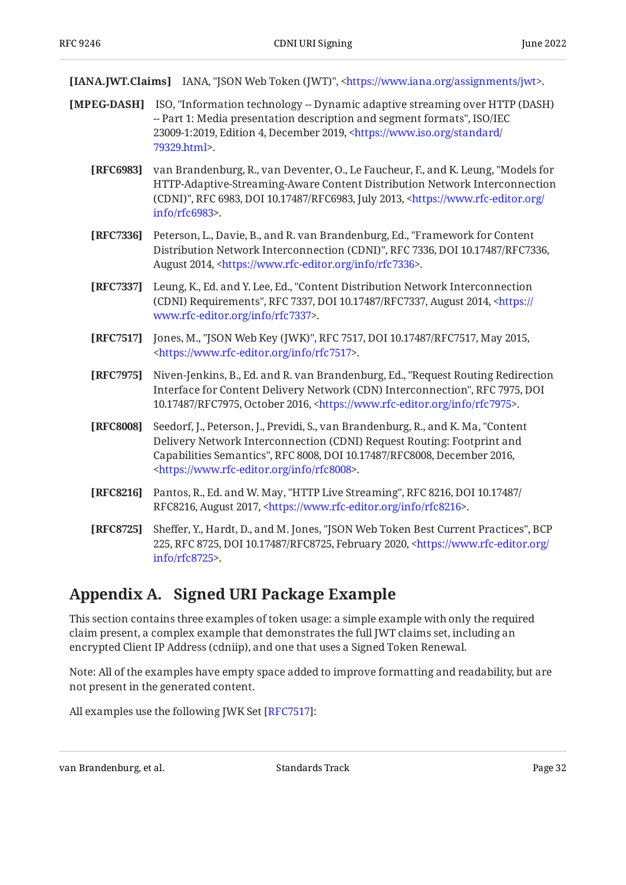<span id="page-31-8"></span>**[IANA.JWT.Claims]** IANA, "JSON Web Token (JWT)", [<https://www.iana.org/assignments/jwt](https://www.iana.org/assignments/jwt)>.

- <span id="page-31-10"></span><span id="page-31-5"></span><span id="page-31-3"></span><span id="page-31-2"></span><span id="page-31-1"></span>**[MPEG-DASH]** ISO, "Information technology -- Dynamic adaptive streaming over HTTP (DASH) , -- Part 1: Media presentation description and segment formats" ISO/IEC 23009-1:2019, Edition 4, December 2019, [<https://www.iso.org/standard/](https://www.iso.org/standard/79329.html) . [79329.html>](https://www.iso.org/standard/79329.html)
	- **[RFC6983]** van Brandenburg, R., van Deventer, O., Le Faucheur, F., and K. Leung, "Models for (CDNI)", RFC 6983, DOI 10.17487/RFC6983, July 2013, [<https://www.rfc-editor.org/](https://www.rfc-editor.org/info/rfc6983) . [info/rfc6983>](https://www.rfc-editor.org/info/rfc6983) HTTP-Adaptive-Streaming-Aware Content Distribution Network Interconnection
	- **[RFC7336]** Peterson, L., Davie, B., and R. van Brandenburg, Ed., "Framework for Content Distribution Network Interconnection (CDNI)", RFC 7336, DOI 10.17487/RFC7336, August 2014, <https://www.rfc-editor.org/info/rfc7336>.
	- **[RFC7337]** Leung, K., Ed. and Y. Lee, Ed., "Content Distribution Network Interconnection (CDNI) Requirements", RFC 7337, DOI 10.17487/RFC7337, August 2014, [<https://](https://www.rfc-editor.org/info/rfc7337) . [www.rfc-editor.org/info/rfc7337>](https://www.rfc-editor.org/info/rfc7337)
	- **[RFC7517]** Jones, M., "JSON Web Key (JWK)", RFC 7517, DOI 10.17487/RFC7517, May 2015, . [<https://www.rfc-editor.org/info/rfc7517](https://www.rfc-editor.org/info/rfc7517)>
	- **[RFC7975]** Niven-Jenkins, B., Ed. and R. van Brandenburg, Ed., "Request Routing Redirection Interface for Content Delivery Network (CDN) Interconnection", RFC 7975, DOI 10.17487/RFC7975, October 2016, <https://www.rfc-editor.org/info/rfc7975>.
	- **[RFC8008]** Seedorf, J., Peterson, J., Previdi, S., van Brandenburg, R., and K. Ma, "Content Capabilities Semantics", RFC 8008, DOI 10.17487/RFC8008, December 2016, . [<https://www.rfc-editor.org/info/rfc8008](https://www.rfc-editor.org/info/rfc8008)> Delivery Network Interconnection (CDNI) Request Routing: Footprint and
	- **[RFC8216]** Pantos, R., Ed. and W. May, "HTTP Live Streaming", RFC 8216, DOI 10.17487/ RFC8216, August 2017, [<https://www.rfc-editor.org/info/rfc8216](https://www.rfc-editor.org/info/rfc8216)>.
	- **[RFC8725]** Sheffer, Y., Hardt, D., and M. Jones, "JSON Web Token Best Current Practices", BCP 225, RFC 8725, DOI 10.17487/RFC8725, February 2020, [<https://www.rfc-editor.org/](https://www.rfc-editor.org/info/rfc8725) . [info/rfc8725>](https://www.rfc-editor.org/info/rfc8725)

## <span id="page-31-9"></span><span id="page-31-7"></span><span id="page-31-6"></span><span id="page-31-4"></span><span id="page-31-0"></span>**[Appendix A. Signed URI Package Example](#page-31-0)**

This section contains three examples of token usage: a simple example with only the required claim present, a complex example that demonstrates the full JWT claims set, including an encrypted Client IP Address (cdniip), and one that uses a Signed Token Renewal.

Note: All of the examples have empty space added to improve formatting and readability, but are not present in the generated content.

All examples use the following JWK Set [[RFC7517\]](#page-31-10):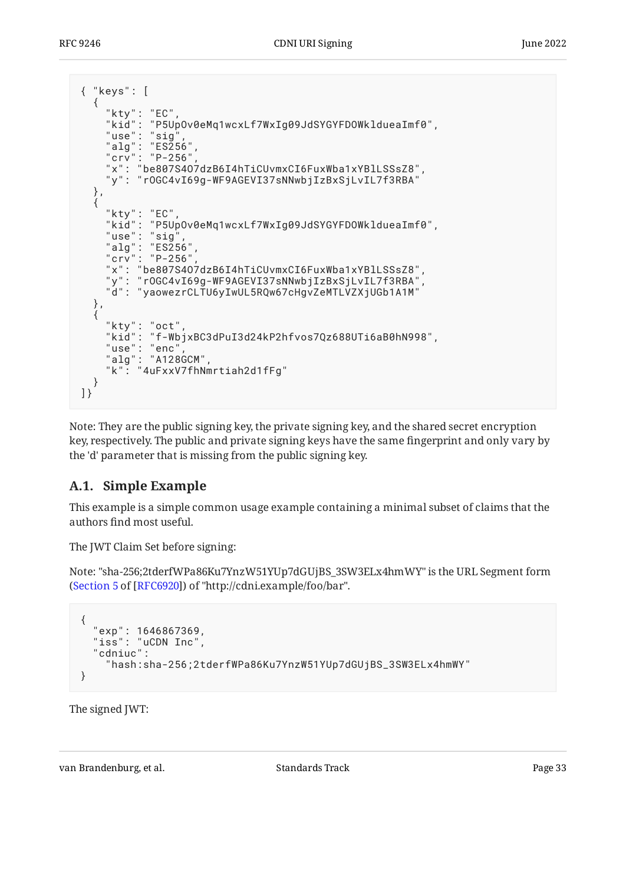| { "keys": [                                                                                                                                                                             |
|-----------------------------------------------------------------------------------------------------------------------------------------------------------------------------------------|
| "kty": "EC",<br>"kid": "P5Up0v0eMq1wcxLf7WxIg09JdSYGYFD0WkldueaImf0",<br>"use": " $sig$ ",<br>"alg": "ES256",<br>"crv": "P-256",<br>"x": "be807S407dzB6I4hTiCUvmxCI6FuxWba1xYBlLSSsZ8", |
| "y": "rOGC4vI69g-WF9AGEVI37sNNwbjIzBxSjLvIL7f3RBA"                                                                                                                                      |
| },                                                                                                                                                                                      |
| "kty": "EC",<br>"kid": "P5Up0v0eMq1wcxLf7WxIg09JdSYGYFDOWkldueaImf0",<br>"use": "sig",<br>"alg": "ES256",<br>"crv": "P-256",                                                            |
| "x": "be807S407dzB6I4hTiCUvmxCI6FuxWba1xYBlLSSsZ8",<br>"y": "rOGC4vI69g-WF9AGEVI37sNNwbjIzBxSjLvIL7f3RBA",<br>"d": "yaowezrCLTU6yIwUL5RQw67cHgvZeMTLVZXjUGb1A1M"                        |
| },                                                                                                                                                                                      |
| "kty": "oct",<br>"kid": "f-WbjxBC3dPuI3d24kP2hfvos7Qz688UTi6aB0hN998",<br>"use": "enc",<br>"alg": "A128GCM",<br>"k": "4uFxxV7fhNmrtiah2d1fFg"                                           |
|                                                                                                                                                                                         |

Note: They are the public signing key, the private signing key, and the shared secret encryption key, respectively. The public and private signing keys have the same fingerprint and only vary by the 'd' parameter that is missing from the public signing key.

### <span id="page-32-0"></span>**[A.1. Simple Example](#page-32-0)**

This example is a simple common usage example containing a minimal subset of claims that the authors find most useful.

The JWT Claim Set before signing:

Note: "sha-256;2tderfWPa86Ku7YnzW51YUp7dGUjBS\_3SW3ELx4hmWY" is the URL Segment form ([Section 5](https://www.rfc-editor.org/rfc/rfc6920#section-5) of [\[RFC6920](#page-30-9)]) of "http://cdni.example/foo/bar".

```
{
 "exp": 1646867369,
 "iss": "uCDN Inc",
 "cdniuc":
     "hash:sha-256;2tderfWPa86Ku7YnzW51YUp7dGUjBS_3SW3ELx4hmWY"
}
```
The signed JWT: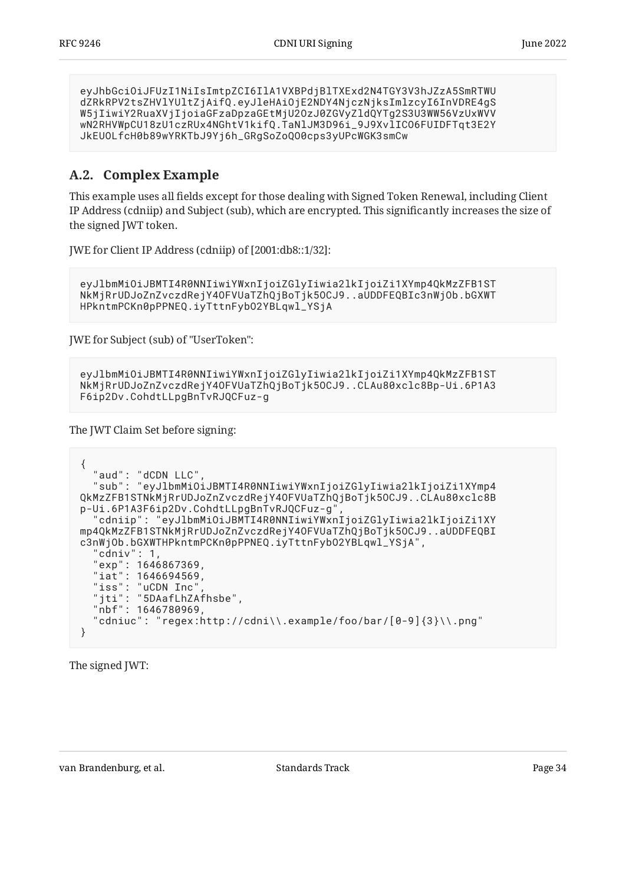eyJhbGciOiJFUzI1NiIsImtpZCI6IlA1VXBPdjBlTXExd2N4TGY3V3hJZzA5SmRTWU dZRkRPV2tsZHVlYUltZjAifQ.eyJleHAiOjE2NDY4NjczNjksImlzcyI6InVDRE4gS W5jIiwiY2RuaXVjIjoiaGFzaDpzaGEtMjU2OzJ0ZGVyZldQYTg2S3U3WW56VzUxWVV wN2RHVWpCU18zU1czRUx4NGhtV1kifQ.TaNlJM3D96i\_9J9XvlICO6FUIDFTqt3E2Y JkEUOLfcH0b89wYRKTbJ9Yj6h\_GRgSoZoQO0cps3yUPcWGK3smCw

### <span id="page-33-0"></span>**[A.2. Complex Example](#page-33-0)**

This example uses all fields except for those dealing with Signed Token Renewal, including Client IP Address (cdniip) and Subject (sub), which are encrypted. This significantly increases the size of the signed IWT token.

JWE for Client IP Address (cdniip) of [2001:db8::1/32]:

```
eyJlbmMiOiJBMTI4R0NNIiwiYWxnIjoiZGlyIiwia2lkIjoiZi1XYmp4QkMzZFB1ST
NkMjRrUDJoZnZvczdRejY4OFVUaTZhQjBoTjk5OCJ9..aUDDFEQBIc3nWjOb.bGXWT
HPkntmPCKn0pPPNEQ.iyTttnFybO2YBLqwl_YSjA
```
JWE for Subject (sub) of "UserToken":

```
eyJlbmMiOiJBMTI4R0NNIiwiYWxnIjoiZGlyIiwia2lkIjoiZi1XYmp4QkMzZFB1ST
NkMjRrUDJoZnZvczdRejY4OFVUaTZhQjBoTjk5OCJ9..CLAu80xclc8Bp-Ui.6P1A3
F6ip2Dv.CohdtLLpgBnTvRJQCFuz-g
```
The JWT Claim Set before signing:

```
{
   "aud": "dCDN LLC",
   "sub": "eyJlbmMiOiJBMTI4R0NNIiwiYWxnIjoiZGlyIiwia2lkIjoiZi1XYmp4
QkMzZFB1STNkMjRrUDJoZnZvczdRejY4OFVUaTZhQjBoTjk5OCJ9..CLAu80xclc8B
p-Ui.6P1A3F6ip2Dv.CohdtLLpgBnTvRJQCFuz-g",
   "cdniip": "eyJlbmMiOiJBMTI4R0NNIiwiYWxnIjoiZGlyIiwia2lkIjoiZi1XY
mp4QkMzZFB1STNkMjRrUDJoZnZvczdRejY4OFVUaTZhQjBoTjk5OCJ9..aUDDFEQBI
c3nWjOb.bGXWTHPkntmPCKn0pPPNEQ.iyTttnFybO2YBLqwl_YSjA",
   "cdniv": 1,
 "exp": 1646867369,
"iat": 1646694569,
 "iss": "uCDN Inc",
   "jti": "5DAafLhZAfhsbe",
   "nbf": 1646780969,
  "cdniuc": "regex:http://cdni\\.example/foo/bar/[0-9]{3}\\.png"
}
```
The signed JWT: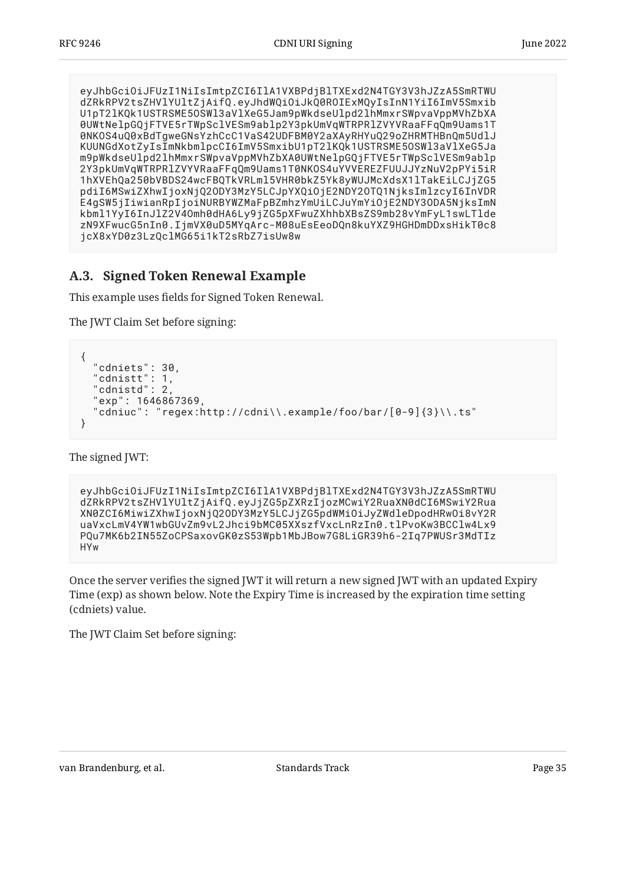eyJhbGciOiJFUzI1NiIsImtpZCI6IlA1VXBPdjBlTXExd2N4TGY3V3hJZzA5SmRTWU dZRkRPV2tsZHVlYUltZjAifQ.eyJhdWQiOiJkQ0ROIExMQyIsInN1YiI6ImV5Smxib U1pT2lKQk1USTRSME5OSWl3aVlXeG5Jam9pWkdseUlpd2lhMmxrSWpvaVppMVhZbXA 0UWtNelpGQjFTVE5rTWpSclVESm9ablp2Y3pkUmVqWTRPRlZVYVRaaFFqQm9Uams1T 0NKOS4uQ0xBdTgweGNsYzhCcC1VaS42UDFBM0Y2aXAyRHYuQ29oZHRMTHBnQm5UdlJ KUUNGdXotZyIsImNkbmlpcCI6ImV5SmxibU1pT2lKQk1USTRSME5OSWl3aVlXeG5Ja m9pWkdseUlpd2lhMmxrSWpvaVppMVhZbXA0UWtNelpGQjFTVE5rTWpSclVESm9ablp 2Y3pkUmVqWTRPRlZVYVRaaFFqQm9Uams1T0NKOS4uYVVEREZFUUJJYzNuV2pPYi5iR 1hXVEhQa250bVBDS24wcFBQTkVRLml5VHR0bkZ5Yk8yWUJMcXdsX1lTakEiLCJjZG5 pdiI6MSwiZXhwIjoxNjQ2ODY3MzY5LCJpYXQiOjE2NDY2OTQ1NjksImlzcyI6InVDR E4gSW5jIiwianRpIjoiNURBYWZMaFpBZmhzYmUiLCJuYmYiOjE2NDY3ODA5NjksImN kbml1YyI6InJlZ2V4Omh0dHA6Ly9jZG5pXFwuZXhhbXBsZS9mb28vYmFyL1swLTlde zN9XFwucG5nIn0.IjmVX0uD5MYqArc-M08uEsEeoDQn8kuYXZ9HGHDmDDxsHikT0c8 jcX8xYD0z3LzQclMG65i1kT2sRbZ7isUw8w

### <span id="page-34-0"></span>**[A.3. Signed Token Renewal Example](#page-34-0)**

This example uses fields for Signed Token Renewal.

The JWT Claim Set before signing:

```
{
   "cdniets": 30,
   "cdnistt": 1,
   "cdnistd": 2,
   "exp": 1646867369,
   "cdniuc": "regex:http://cdni\\.example/foo/bar/[0-9]{3}\\.ts"
}
```
The signed JWT:

eyJhbGciOiJFUzI1NiIsImtpZCI6IlA1VXBPdjBlTXExd2N4TGY3V3hJZzA5SmRTWU dZRkRPV2tsZHVlYUltZjAifQ.eyJjZG5pZXRzIjozMCwiY2RuaXN0dCI6MSwiY2Rua XN0ZCI6MiwiZXhwIjoxNjQ2ODY3MzY5LCJjZG5pdWMiOiJyZWdleDpodHRwOi8vY2R uaVxcLmV4YW1wbGUvZm9vL2Jhci9bMC05XXszfVxcLnRzIn0.tlPvoKw3BCClw4Lx9 PQu7MK6b2IN55ZoCPSaxovGK0zS53Wpb1MbJBow7G8LiGR39h6-2Iq7PWUSr3MdTIz HYw

Once the server verifies the signed JWT it will return a new signed JWT with an updated Expiry Time (exp) as shown below. Note the Expiry Time is increased by the expiration time setting (cdniets) value.

The JWT Claim Set before signing: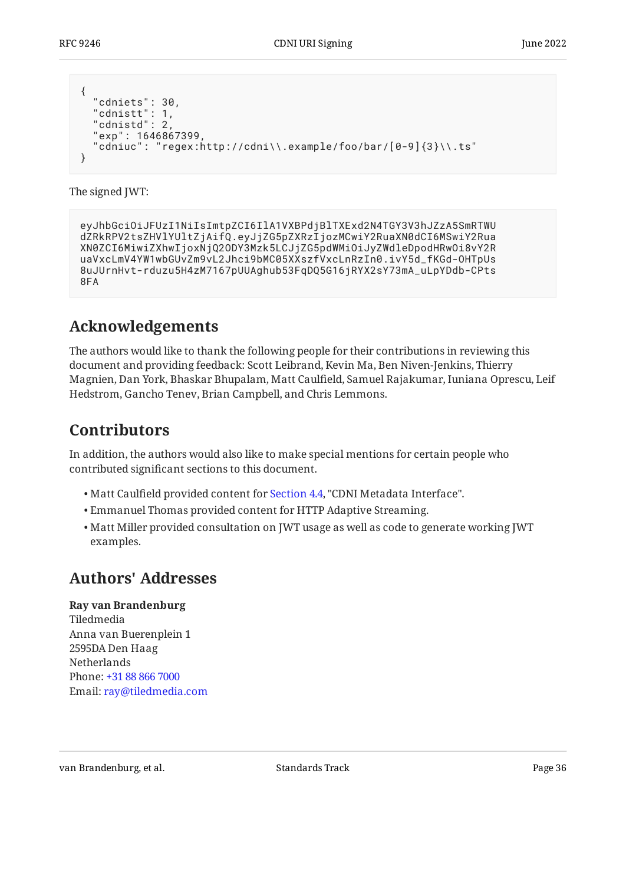```
{
  "cdniets": 30,
 "cdnistt": 1,
 "cdnistd": 2,
   "exp": 1646867399,
   "cdniuc": "regex:http://cdni\\.example/foo/bar/[0-9]{3}\\.ts"
}
```
The signed JWT:

```
eyJhbGciOiJFUzI1NiIsImtpZCI6IlA1VXBPdjBlTXExd2N4TGY3V3hJZzA5SmRTWU
dZRkRPV2tsZHVlYUltZjAifQ.eyJjZG5pZXRzIjozMCwiY2RuaXN0dCI6MSwiY2Rua
XN0ZCI6MiwiZXhwIjoxNjQ2ODY3Mzk5LCJjZG5pdWMiOiJyZWdleDpodHRwOi8vY2R
uaVxcLmV4YW1wbGUvZm9vL2Jhci9bMC05XXszfVxcLnRzIn0.ivY5d_fKGd-OHTpUs
8uJUrnHvt-rduzu5H4zM7167pUUAghub53FqDQ5G16jRYX2sY73mA_uLpYDdb-CPts
8FA
```
## <span id="page-35-0"></span>**[Acknowledgements](#page-35-0)**

The authors would like to thank the following people for their contributions in reviewing this document and providing feedback: Scott Leibrand, Kevin Ma, Ben Niven-Jenkins, Thierry Magnien, Dan York, Bhaskar Bhupalam, Matt Caulfield, Samuel Rajakumar, Iuniana Oprescu, Leif Hedstrom, Gancho Tenev, Brian Campbell, and Chris Lemmons.

## <span id="page-35-1"></span>**[Contributors](#page-35-1)**

In addition, the authors would also like to make special mentions for certain people who contributed significant sections to this document.

- Matt Caulfield provided content for [Section 4.4](#page-16-4), "CDNI Metadata Interface".
- $\bullet$  Emmanuel Thomas provided content for HTTP Adaptive Streaming.
- $\bullet$  Matt Miller provided consultation on JWT usage as well as code to generate working JWT examples.

## <span id="page-35-2"></span>**[Authors' Addresses](#page-35-2)**

**Ray van Brandenburg**

Tiledmedia Anna van Buerenplein 1 2595DA Den Haag Netherlands Phone: [+31 88 866 7000](tel:+31%2088%20866%207000) Email: [ray@tiledmedia.com](mailto:ray@tiledmedia.com)